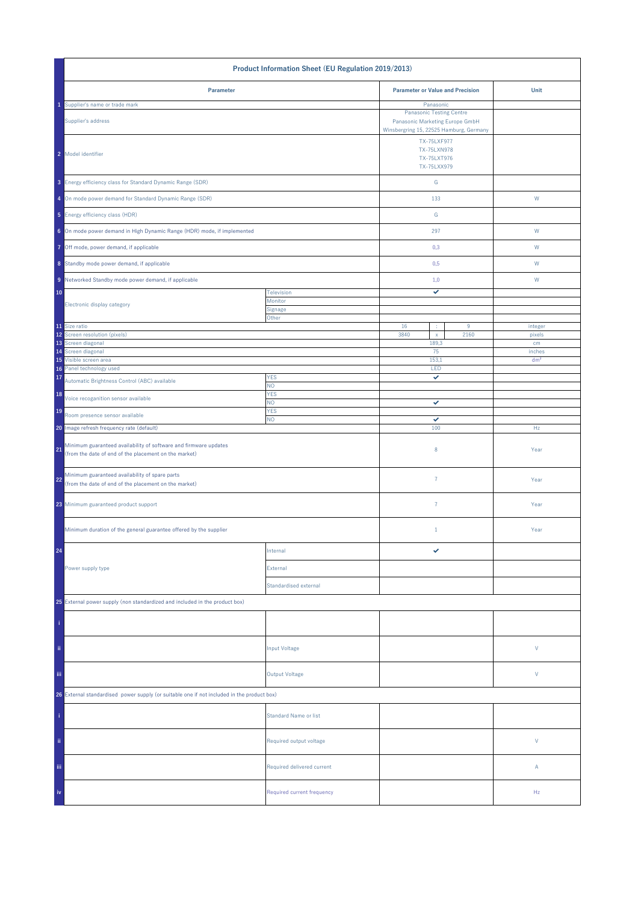| Product Information Sheet (EU Regulation 2019/2013)                                                                             |                              |                                                                                                               |           |                           |
|---------------------------------------------------------------------------------------------------------------------------------|------------------------------|---------------------------------------------------------------------------------------------------------------|-----------|---------------------------|
| Parameter                                                                                                                       |                              | <b>Parameter or Value and Precision</b>                                                                       |           | Unit                      |
| Supplier's name or trade mark                                                                                                   |                              | Panasonic                                                                                                     |           |                           |
| Supplier's address                                                                                                              |                              | <b>Panasonic Testing Centre</b><br>Panasonic Marketing Europe GmbH<br>Winsbergring 15, 22525 Hamburg, Germany |           |                           |
| 2 Model identifier                                                                                                              |                              | TX-75LXF977<br>TX-75LXN978<br>TX-75LXT976<br>TX-75LXX979                                                      |           |                           |
| 3 Energy efficiency class for Standard Dynamic Range (SDR)                                                                      |                              | G                                                                                                             |           |                           |
| 4 On mode power demand for Standard Dynamic Range (SDR)                                                                         |                              | 133                                                                                                           |           | ${\sf W}$                 |
| 5 Energy efficiency class (HDR)                                                                                                 |                              | ${\mathsf G}$                                                                                                 |           |                           |
| 6 On mode power demand in High Dynamic Range (HDR) mode, if implemented                                                         |                              | 297                                                                                                           |           | W                         |
| 7 Off mode, power demand, if applicable                                                                                         |                              | 0,3                                                                                                           |           | W                         |
| 8 Standby mode power demand, if applicable                                                                                      |                              | 0,5                                                                                                           |           | W                         |
| 9 Networked Standby mode power demand, if applicable                                                                            |                              | 1,0                                                                                                           |           | W                         |
| 10                                                                                                                              | Television                   | ✓                                                                                                             |           |                           |
| Electronic display category                                                                                                     | Monitor<br>Signage           |                                                                                                               |           |                           |
|                                                                                                                                 | Other                        | 16                                                                                                            |           |                           |
| 11 Size ratio<br>12 Screen resolution (pixels)                                                                                  |                              | ÷<br>3840<br>$\mathsf X$                                                                                      | 9<br>2160 | integer<br>pixels         |
| 13 Screen diagonal                                                                                                              |                              | 189,3<br>75                                                                                                   |           | cm                        |
| 14 Screen diagonal<br>15 Visible screen area                                                                                    |                              | 153,1                                                                                                         |           | inches<br>dm <sup>2</sup> |
| Panel technology used<br>16                                                                                                     |                              | LED                                                                                                           |           |                           |
| 17<br>Automatic Brightness Control (ABC) available                                                                              | <b>YES</b><br>NO.            | ✓                                                                                                             |           |                           |
| 18<br>Voice recoganition sensor available                                                                                       | <b>YES</b><br>NO.            | ✓                                                                                                             |           |                           |
| 19<br>Room presence sensor available                                                                                            | <b>YES</b><br>NO.            | ✓                                                                                                             |           |                           |
| 20 Image refresh frequency rate (default)                                                                                       |                              | 100                                                                                                           |           | Hz                        |
| Minimum guaranteed availability of software and firmware updates<br>21<br>(from the date of end of the placement on the market) |                              | 8                                                                                                             |           | Year                      |
| Minimum guaranteed availability of spare parts<br>22<br>(from the date of end of the placement on the market)                   |                              | $\overline{7}$                                                                                                |           | Year                      |
| 23 Minimum guaranteed product support                                                                                           |                              | $\overline{7}$                                                                                                |           | Year                      |
| Minimum duration of the general guarantee offered by the supplier                                                               |                              | $1\,$                                                                                                         |           | Year                      |
| 24                                                                                                                              | Internal                     | ✓                                                                                                             |           |                           |
| Power supply type                                                                                                               | External                     |                                                                                                               |           |                           |
|                                                                                                                                 | Standardised external        |                                                                                                               |           |                           |
| 25 External power supply (non standardized and included in the product box)                                                     |                              |                                                                                                               |           |                           |
|                                                                                                                                 |                              |                                                                                                               |           |                           |
| ii.                                                                                                                             | Input Voltage                |                                                                                                               |           | V                         |
| iii.                                                                                                                            | <b>Output Voltage</b>        |                                                                                                               |           | V                         |
| 26 External standardised power supply (or suitable one if not included in the product box)                                      |                              |                                                                                                               |           |                           |
|                                                                                                                                 | <b>Standard Name or list</b> |                                                                                                               |           |                           |
| ii.                                                                                                                             | Required output voltage      |                                                                                                               |           | V                         |
| Ϊij                                                                                                                             | Required delivered current   |                                                                                                               |           | Α                         |
| iv                                                                                                                              | Required current frequency   |                                                                                                               |           | Hz                        |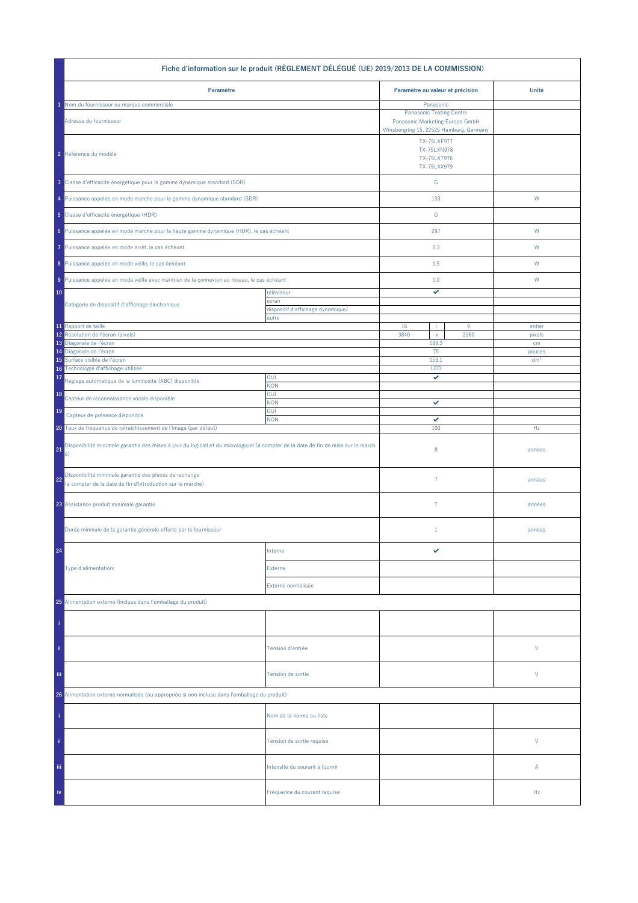|                                                                                                                                                | Fiche d'information sur le produit (RÈGLEMENT DÉLÉGUÉ (UE) 2019/2013 DE LA COMMISSION) |                                                                                                     |           |                  |
|------------------------------------------------------------------------------------------------------------------------------------------------|----------------------------------------------------------------------------------------|-----------------------------------------------------------------------------------------------------|-----------|------------------|
| Paramètre                                                                                                                                      |                                                                                        | Paramètre ou valeur et précision                                                                    |           | Unité            |
| Nom du fournisseur ou marque commerciale                                                                                                       |                                                                                        | Panasonic                                                                                           |           |                  |
| Adresse du fournisseur                                                                                                                         |                                                                                        | <b>Panasonic Testing Centre</b><br>Panasonic Marketing Europe GmbH                                  |           |                  |
| 2 Référence du modèle                                                                                                                          |                                                                                        | Winsbergring 15, 22525 Hamburg, Germany<br>TX-75LXF977<br>TX-75LXN978<br>TX-75LXT976<br>TX-75LXX979 |           |                  |
| 3 Classe d'efficacité énergétique pour la gamme dynamique standard (SDR)                                                                       |                                                                                        | ${\mathsf G}$                                                                                       |           |                  |
| 4 Puissance appelée en mode marche pour la gamme dynamique standard (SDR)                                                                      |                                                                                        | 133                                                                                                 |           | W                |
| 5 Classe d'efficacité énergétique (HDR)                                                                                                        |                                                                                        | ${\mathbb G}$                                                                                       |           |                  |
| 6 Puissance appelée en mode marche pour la haute gamme dynamique (HDR), le cas échéant                                                         |                                                                                        | 297                                                                                                 |           | W                |
| Puissance appelée en mode arrêt, le cas échéant<br>7                                                                                           |                                                                                        | 0,3                                                                                                 |           | W                |
| 8 Puissance appelée en mode veille, le cas échéant                                                                                             |                                                                                        | 0,5                                                                                                 |           | W                |
| 9 Puissance appelée en mode veille avec maintien de la connexion au réseau, le cas échéant                                                     |                                                                                        | 1,0                                                                                                 |           | W                |
| 10<br>Catégorie de dispositif d'affichage électronique                                                                                         | téléviseur<br>écran<br>dispositif d'affichage dynamique/                               | ✓                                                                                                   |           |                  |
|                                                                                                                                                | autre                                                                                  |                                                                                                     |           |                  |
| 11 Rapport de taille<br>Résolution de l'écran (pixels)<br>12                                                                                   |                                                                                        | 16<br>÷<br>3840<br>$\mathsf X$                                                                      | 9<br>2160 | entier<br>pixels |
| 13 Diagonale de l'écran                                                                                                                        |                                                                                        | 189,3                                                                                               |           | cm               |
| 14 Diagonale de l'écran                                                                                                                        |                                                                                        | 75                                                                                                  |           | pouces           |
| Surface visible de l'écran<br>15<br>Technologie d'affichage utilisée<br>16                                                                     |                                                                                        | 153,1<br>LED                                                                                        |           | dm <sup>2</sup>  |
| 17<br>Réglage automatique de la luminosité (ABC) disponible                                                                                    | OUI<br><b>NON</b>                                                                      | ✓                                                                                                   |           |                  |
| 18<br>Capteur de reconnaissance vocale disponible                                                                                              | OUI<br><b>NON</b>                                                                      | ✓                                                                                                   |           |                  |
| 19<br>Capteur de présence disponible                                                                                                           | OUI<br><b>NON</b>                                                                      | ✓                                                                                                   |           |                  |
| 20 Taux de fréquence de rafraîchissement de l'image (par défaut)                                                                               |                                                                                        | 100                                                                                                 |           | Hz               |
| Disponibilité minimale garantie des mises à jour du logiciel et du micrologiciel (à compter de la date de fin de mise sur le march<br>21<br>é) |                                                                                        | 8                                                                                                   |           | années           |
| Disponibilité minimale garantie des pièces de rechange<br>22<br>(à compter de la date de fin d'introduction sur le marché)                     |                                                                                        | $\overline{7}$                                                                                      |           | années           |
| 23 Assistance produit minimale garantie                                                                                                        |                                                                                        | $\overline{7}$                                                                                      |           | années           |
| Durée mininale de la garantie générale offerte par le fournisseur                                                                              |                                                                                        | $1\,$                                                                                               |           | années           |
| 24                                                                                                                                             | Interne                                                                                | ✓                                                                                                   |           |                  |
| Type d'alimentation:                                                                                                                           | Externe                                                                                |                                                                                                     |           |                  |
|                                                                                                                                                | Externe normalisée                                                                     |                                                                                                     |           |                  |
| 25 Alimentation externe (incluse dans l'emballage du produit)                                                                                  |                                                                                        |                                                                                                     |           |                  |
|                                                                                                                                                |                                                                                        |                                                                                                     |           |                  |
| ii.                                                                                                                                            | Tension d'entrée                                                                       |                                                                                                     |           | V                |
| iii.                                                                                                                                           | Tension de sortie                                                                      |                                                                                                     |           | V                |
| 26 Alimentation externe normalisée (ou appropriée si non incluse dans l'emballage du produit)                                                  |                                                                                        |                                                                                                     |           |                  |
|                                                                                                                                                | Nom de la norme ou liste                                                               |                                                                                                     |           |                  |
| ii.                                                                                                                                            | Tension de sortie requise                                                              |                                                                                                     |           | V                |
| Ϊij                                                                                                                                            | Intensité du courant à fournir                                                         |                                                                                                     |           | Α                |
| iv                                                                                                                                             | Fréquence du courant requise                                                           |                                                                                                     |           | Hz               |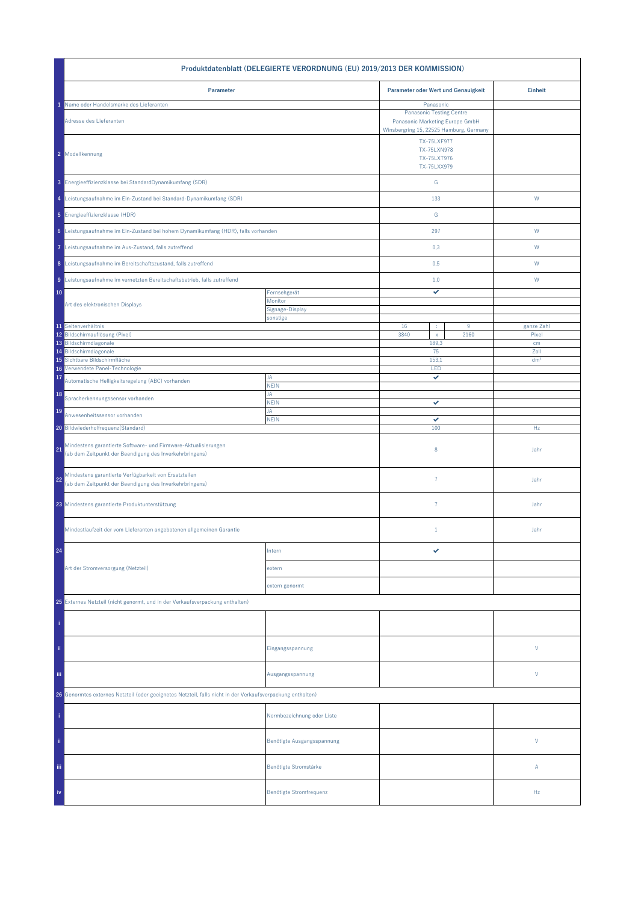| Produktdatenblatt (DELEGIERTE VERORDNUNG (EU) 2019/2013 DER KOMMISSION)                                                         |                             |                                     |                                                                                                                            |                 |  |
|---------------------------------------------------------------------------------------------------------------------------------|-----------------------------|-------------------------------------|----------------------------------------------------------------------------------------------------------------------------|-----------------|--|
| Parameter                                                                                                                       |                             | Parameter oder Wert und Genauigkeit |                                                                                                                            | <b>Einheit</b>  |  |
| Name oder Handelsmarke des Lieferanten<br>Adresse des Lieferanten                                                               |                             |                                     | Panasonic<br><b>Panasonic Testing Centre</b><br>Panasonic Marketing Europe GmbH<br>Winsbergring 15, 22525 Hamburg, Germany |                 |  |
| 2 Modellkennung                                                                                                                 |                             |                                     | TX-75LXF977<br>TX-75LXN978<br>TX-75LXT976<br>TX-75LXX979                                                                   |                 |  |
| 3 Energieeffizienzklasse bei StandardDynamikumfang (SDR)                                                                        |                             | ${\mathsf G}$                       |                                                                                                                            |                 |  |
| 4 Leistungsaufnahme im Ein-Zustand bei Standard-Dynamikumfang (SDR)                                                             |                             | 133                                 |                                                                                                                            | W               |  |
| 5 Energieeffizienzklasse (HDR)                                                                                                  |                             | G                                   |                                                                                                                            |                 |  |
| 6 Leistungsaufnahme im Ein-Zustand bei hohem Dynamikumfang (HDR), falls vorhanden                                               |                             | 297                                 |                                                                                                                            | W               |  |
| 7 Leistungsaufnahme im Aus-Zustand, falls zutreffend                                                                            |                             | 0,3                                 |                                                                                                                            | W               |  |
| 8 Leistungsaufnahme im Bereitschaftszustand, falls zutreffend                                                                   |                             | 0,5                                 |                                                                                                                            | W               |  |
| 9 Leistungsaufnahme im vernetzten Bereitschaftsbetrieb, falls zutreffend                                                        |                             | 1,0                                 |                                                                                                                            | W               |  |
| 10                                                                                                                              | Fernsehgerät<br>Monitor     | ✓                                   |                                                                                                                            |                 |  |
| Art des elektronischen Displays                                                                                                 | Signage-Display<br>sonstige |                                     |                                                                                                                            |                 |  |
| 11 Seitenverhältnis                                                                                                             |                             | 16<br>÷                             | $9\,$                                                                                                                      | ganze Zahl      |  |
| 12 Bildschirmauflösung (Pixel)                                                                                                  |                             | 3840<br>$\mathsf{x}$                | 2160                                                                                                                       | Pixel           |  |
| 13 Bildschirmdiagonale<br>Bildschirmdiagonale<br>14                                                                             |                             | 189,3<br>75                         |                                                                                                                            | cm<br>Zoll      |  |
| Sichtbare Bildschirmfläche<br>15                                                                                                |                             | 153,1                               |                                                                                                                            | dm <sup>2</sup> |  |
| Verwendete Panel-Technologie<br>16                                                                                              | JA                          | LED<br>✓                            |                                                                                                                            |                 |  |
| 17<br>Automatische Helligkeitsregelung (ABC) vorhanden                                                                          | <b>NEIN</b>                 |                                     |                                                                                                                            |                 |  |
| 18<br>Spracherkennungssensor vorhanden                                                                                          | JA<br><b>NEIN</b>           | ✓                                   |                                                                                                                            |                 |  |
| 19<br>Anwesenheitssensor vorhanden                                                                                              | JA<br><b>NEIN</b>           | ✓                                   |                                                                                                                            |                 |  |
| 20 Bildwiederholfrequenz(Standard)                                                                                              |                             | 100                                 |                                                                                                                            | Hz              |  |
| Mindestens garantierte Software- und Firmware-Aktualisierungen<br>21<br>(ab dem Zeitpunkt der Beendigung des Inverkehrbringens) |                             | 8                                   |                                                                                                                            | Jahr            |  |
| Mindestens garantierte Verfügbarkeit von Ersatzteilen<br>22<br>(ab dem Zeitpunkt der Beendigung des Inverkehrbringens)          |                             | $\overline{7}$                      |                                                                                                                            | Jahr            |  |
| 23 Mindestens garantierte Produktunterstützung                                                                                  |                             | $\overline{7}$                      |                                                                                                                            | Jahr            |  |
| Mindestlaufzeit der vom Lieferanten angebotenen allgemeinen Garantie                                                            |                             | $\mathbf{1}$                        |                                                                                                                            | Jahr            |  |
| 24                                                                                                                              | Intern                      | ✓                                   |                                                                                                                            |                 |  |
| Art der Stromversorgung (Netzteil)                                                                                              | extern                      |                                     |                                                                                                                            |                 |  |
|                                                                                                                                 | extern genormt              |                                     |                                                                                                                            |                 |  |
| 25 Externes Netzteil (nicht genormt, und in der Verkaufsverpackung enthalten)                                                   |                             |                                     |                                                                                                                            |                 |  |
|                                                                                                                                 |                             |                                     |                                                                                                                            |                 |  |
| ii.                                                                                                                             | Eingangsspannung            |                                     |                                                                                                                            | V               |  |
| Ϊij                                                                                                                             | Ausgangsspannung            |                                     |                                                                                                                            | V               |  |
| 26 Genormtes externes Netzteil (oder geeignetes Netzteil, falls nicht in der Verkaufsverpackung enthalten)                      |                             |                                     |                                                                                                                            |                 |  |
|                                                                                                                                 | Normbezeichnung oder Liste  |                                     |                                                                                                                            |                 |  |
| ii.                                                                                                                             | Benötigte Ausgangsspannung  |                                     |                                                                                                                            | V               |  |
| Ϊij                                                                                                                             | Benötigte Stromstärke       |                                     |                                                                                                                            | Α               |  |
| iv                                                                                                                              | Benötigte Stromfrequenz     |                                     |                                                                                                                            | Hz              |  |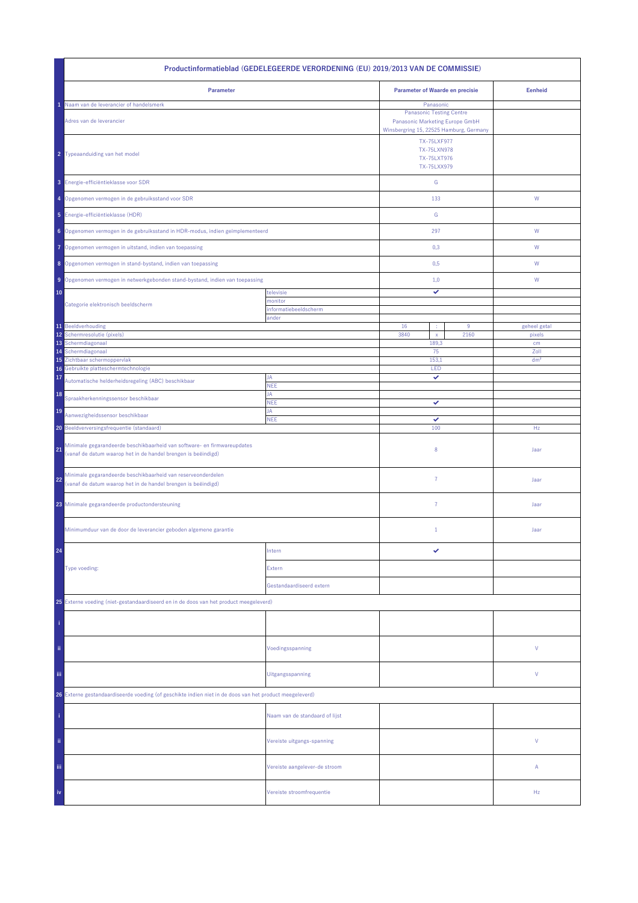| Productinformatieblad (GEDELEGEERDE VERORDENING (EU) 2019/2013 VAN DE COMMISSIE)                                                               |                                |                                                                                                               |                 |  |  |
|------------------------------------------------------------------------------------------------------------------------------------------------|--------------------------------|---------------------------------------------------------------------------------------------------------------|-----------------|--|--|
| Parameter                                                                                                                                      |                                | Parameter of Waarde en precisie                                                                               | <b>Eenheid</b>  |  |  |
| Naam van de leverancier of handelsmerk                                                                                                         |                                | Panasonic                                                                                                     |                 |  |  |
| Adres van de leverancier                                                                                                                       |                                | <b>Panasonic Testing Centre</b><br>Panasonic Marketing Europe GmbH<br>Winsbergring 15, 22525 Hamburg, Germany |                 |  |  |
| 2 Typeaanduiding van het model                                                                                                                 |                                | <b>TX-75LXF977</b><br><b>TX-75LXN978</b><br>TX-75LXT976<br>TX-75LXX979                                        |                 |  |  |
| 3 Energie-efficiëntieklasse voor SDR                                                                                                           |                                | ${\mathbb G}$                                                                                                 |                 |  |  |
| 4 Opgenomen vermogen in de gebruiksstand voor SDR                                                                                              |                                | 133                                                                                                           | W               |  |  |
| 5 Energie-efficiëntieklasse (HDR)                                                                                                              |                                | ${\mathbb G}$                                                                                                 |                 |  |  |
| 6 Opgenomen vermogen in de gebruiksstand in HDR-modus, indien geïmplementeerd                                                                  |                                | 297                                                                                                           | ${\sf W}$       |  |  |
| Opgenomen vermogen in uitstand, indien van toepassing<br>7                                                                                     |                                | 0,3                                                                                                           | W               |  |  |
| 8 Opgenomen vermogen in stand-bystand, indien van toepassing                                                                                   |                                | 0,5                                                                                                           | W               |  |  |
| 9 Opgenomen vermogen in netwerkgebonden stand-bystand, indien van toepassing                                                                   |                                | 1,0                                                                                                           | W               |  |  |
| televisie<br>10                                                                                                                                |                                | ✓                                                                                                             |                 |  |  |
| Categorie elektronisch beeldscherm                                                                                                             | monitor                        |                                                                                                               |                 |  |  |
|                                                                                                                                                | informatiebeeldscherm<br>ander |                                                                                                               |                 |  |  |
| 11 Beeldverhouding                                                                                                                             |                                | 16<br>$9\,$                                                                                                   | geheel getal    |  |  |
| 12<br>Schermresolutie (pixels)                                                                                                                 |                                | 3840<br>2160<br>$\mathsf X$                                                                                   | pixels          |  |  |
| 13 Schermdiagonaal<br>Schermdiagonaal<br>14                                                                                                    |                                | 189,3<br>75                                                                                                   | cm<br>Zoll      |  |  |
| 15 Zichtbaar schermoppervlak                                                                                                                   |                                | 153,1                                                                                                         | dm <sup>2</sup> |  |  |
| Gebruikte platteschermtechnologie<br>16                                                                                                        |                                | LED                                                                                                           |                 |  |  |
| 17<br>Automatische helderheidsregeling (ABC) beschikbaar                                                                                       | JA<br>NEE                      | ✓                                                                                                             |                 |  |  |
| 18<br>Spraakherkenningssensor beschikbaar                                                                                                      | JA<br><b>NEE</b>               | ✓                                                                                                             |                 |  |  |
| 19<br>Aanwezigheidssensor beschikbaar                                                                                                          | JA<br><b>NEE</b>               | ✓                                                                                                             |                 |  |  |
| 20 Beeldverversingsfrequentie (standaard)                                                                                                      |                                | 100                                                                                                           | Hz              |  |  |
| Minimale gegarandeerde beschikbaarheid van software- en firmwareupdates<br>21<br>(vanaf de datum waarop het in de handel brengen is beëindigd) |                                | 8                                                                                                             | Jaar            |  |  |
| Minimale gegarandeerde beschikbaarheid van reserveonderdelen<br>22<br>(vanaf de datum waarop het in de handel brengen is beëindigd)            |                                | $\overline{7}$                                                                                                | Jaar            |  |  |
| 23 Minimale gegarandeerde productondersteuning                                                                                                 |                                | $\overline{7}$                                                                                                | Jaar            |  |  |
| Minimumduur van de door de leverancier geboden algemene garantie                                                                               |                                | $\mathbf{1}$                                                                                                  | Jaar            |  |  |
| 24                                                                                                                                             | Intern                         |                                                                                                               |                 |  |  |
| Type voeding:                                                                                                                                  | Extern                         |                                                                                                               |                 |  |  |
|                                                                                                                                                | Gestandaardiseerd extern       |                                                                                                               |                 |  |  |
| 25 Externe voeding (niet-gestandaardiseerd en in de doos van het product meegeleverd)                                                          |                                |                                                                                                               |                 |  |  |
|                                                                                                                                                |                                |                                                                                                               |                 |  |  |
| ii.                                                                                                                                            | Voedingsspanning               |                                                                                                               | V               |  |  |
| Ϊij                                                                                                                                            | Uitgangsspanning               |                                                                                                               | V               |  |  |
| 26 Externe gestandaardiseerde voeding (of geschikte indien niet in de doos van het product meegeleverd)                                        |                                |                                                                                                               |                 |  |  |
|                                                                                                                                                | Naam van de standaard of lijst |                                                                                                               |                 |  |  |
| ii.                                                                                                                                            | Vereiste uitgangs-spanning     |                                                                                                               | V               |  |  |
| iii.                                                                                                                                           | Vereiste aangelever-de stroom  |                                                                                                               | Α               |  |  |
| iv                                                                                                                                             | Vereiste stroomfrequentie      |                                                                                                               | Hz              |  |  |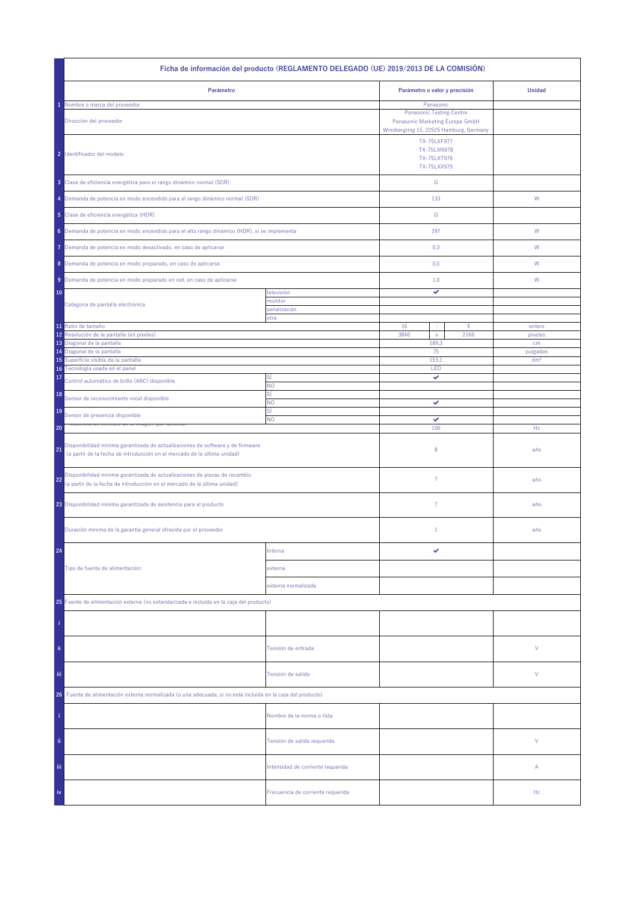|                                                                                                                                                                  | Ficha de información del producto (REGLAMENTO DELEGADO (UE) 2019/2013 DE LA COMISIÓN) |                                                                    |                                                                                                            |                 |
|------------------------------------------------------------------------------------------------------------------------------------------------------------------|---------------------------------------------------------------------------------------|--------------------------------------------------------------------|------------------------------------------------------------------------------------------------------------|-----------------|
| Parámetro                                                                                                                                                        |                                                                                       | Parámetro o valor y precisión                                      |                                                                                                            | <b>Unidad</b>   |
| Nombre o marca del proveedor                                                                                                                                     |                                                                                       | Panasonic                                                          |                                                                                                            |                 |
| Dirección del proveedor                                                                                                                                          |                                                                                       | <b>Panasonic Testing Centre</b><br>Panasonic Marketing Europe GmbH |                                                                                                            |                 |
| 2 Identificador del modelo                                                                                                                                       |                                                                                       |                                                                    | Winsbergring 15, 22525 Hamburg, Germany<br><b>TX-75LXF977</b><br>TX-75LXN978<br>TX-75LXT976<br>TX-75LXX979 |                 |
| 3 Clase de eficiencia energética para el rango dinámico normal (SDR)                                                                                             |                                                                                       | ${\mathsf G}$                                                      |                                                                                                            |                 |
| 4 Demanda de potencia en modo encendido para el rango dinámico normal (SDR)                                                                                      |                                                                                       | 133                                                                |                                                                                                            | W               |
| 5 Clase de eficiencia energética (HDR)                                                                                                                           |                                                                                       | ${\mathbb G}$                                                      |                                                                                                            |                 |
| 6 Demanda de potencia en modo encendido para el alto rango dinámico (HDR), si se implementa                                                                      |                                                                                       | 297                                                                |                                                                                                            | W               |
| Demanda de potencia en modo desactivado, en caso de aplicarse<br>7                                                                                               |                                                                                       | 0,3                                                                |                                                                                                            | W               |
| 8 Demanda de potencia en modo preparado, en caso de aplicarse                                                                                                    |                                                                                       | 0,5                                                                |                                                                                                            | W               |
| 9 Demanda de potencia en modo preparado en red, en caso de aplicarse                                                                                             |                                                                                       | 1,0                                                                |                                                                                                            | W               |
| 10                                                                                                                                                               | televisión                                                                            | ✓                                                                  |                                                                                                            |                 |
| Categoría de pantalla electrónica                                                                                                                                | monitor<br>señalización                                                               |                                                                    |                                                                                                            |                 |
|                                                                                                                                                                  | otra                                                                                  |                                                                    |                                                                                                            |                 |
| 11 Ratio de tamaño                                                                                                                                               |                                                                                       | 16<br>÷                                                            | 9                                                                                                          | entero          |
| Resolución de la pantalla (en píxeles)<br>12<br>Diagonal de la pantalla<br>13                                                                                    |                                                                                       | 3840<br>$\mathsf{x}$<br>189,3                                      | 2160                                                                                                       | pixeles<br>cm   |
| 14 Diagonal de la pantalla                                                                                                                                       |                                                                                       | 75                                                                 |                                                                                                            | pulgadas        |
| Superficie visible de la pantalla<br>15                                                                                                                          |                                                                                       | 153,1                                                              |                                                                                                            | dm <sup>2</sup> |
| Tecnología usada en el panel<br>16                                                                                                                               | SÍ                                                                                    | LED<br>✓                                                           |                                                                                                            |                 |
| 17<br>Control automático de brillo (ABC) disponible                                                                                                              | <b>NO</b><br>SÍ                                                                       |                                                                    |                                                                                                            |                 |
| 18<br>Sensor de reconocimiento vocal disponible<br>19                                                                                                            | NO.<br>SÍ                                                                             | ✓                                                                  |                                                                                                            |                 |
| Sensor de presencia disponible                                                                                                                                   | <b>NO</b>                                                                             | ✓                                                                  |                                                                                                            |                 |
| 20                                                                                                                                                               |                                                                                       | 100                                                                |                                                                                                            | Hz              |
| Disponibilidad mínima garantizada de actualizaciones de software y de firmware<br>21<br>(a partir de la fecha de introducción en el mercado de la última unidad) |                                                                                       | 8                                                                  |                                                                                                            | año             |
| Disponibilidad mínima garantizada de actualizaciones de piezas de recambio<br>22<br>(a partir de la fecha de introducción en el mercado de la última unidad)     |                                                                                       | 7                                                                  |                                                                                                            | año             |
| 23 Disponibilidad mínima garantizada de asistencia para el producto                                                                                              |                                                                                       | $\overline{7}$                                                     |                                                                                                            | año             |
| Duración mínima de la garantía general ofrecida por el proveedor                                                                                                 |                                                                                       | $1\,$                                                              |                                                                                                            | año             |
| 24                                                                                                                                                               | Interna                                                                               | ✓                                                                  |                                                                                                            |                 |
| Tipo de fuente de alimentación:                                                                                                                                  | externa                                                                               |                                                                    |                                                                                                            |                 |
|                                                                                                                                                                  | externa normalizada                                                                   |                                                                    |                                                                                                            |                 |
| 25 Fuente de alimentación externa (no estandarizada e incluida en la caja del producto)                                                                          |                                                                                       |                                                                    |                                                                                                            |                 |
|                                                                                                                                                                  |                                                                                       |                                                                    |                                                                                                            |                 |
| ii.                                                                                                                                                              | Tensión de entrada                                                                    |                                                                    |                                                                                                            | V               |
| Ϊij                                                                                                                                                              | Tensión de salida                                                                     |                                                                    |                                                                                                            | V               |
| Fuente de alimentación externa normalizada (o una adecuada, si no está incluida en la caja del producto)<br>26.                                                  |                                                                                       |                                                                    |                                                                                                            |                 |
|                                                                                                                                                                  | Nombre de la norma o lista                                                            |                                                                    |                                                                                                            |                 |
| ii.                                                                                                                                                              | Tensión de salida requerida                                                           |                                                                    |                                                                                                            | V               |
| Ϊij                                                                                                                                                              | Intensidad de corriente requerida                                                     |                                                                    |                                                                                                            | Α               |
| iv                                                                                                                                                               | Frecuencia de corriente requerida                                                     |                                                                    |                                                                                                            | Hz              |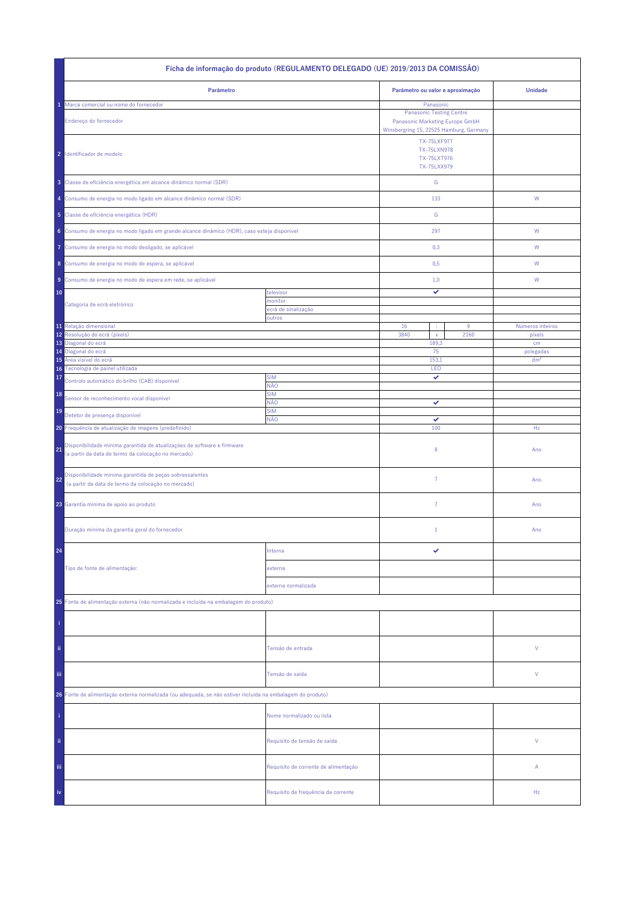| Ficha de informação do produto (REGULAMENTO DELEGADO (UE) 2019/2013 DA COMISSÃO)                                                     |                                      |                                                                                                               |                              |  |  |
|--------------------------------------------------------------------------------------------------------------------------------------|--------------------------------------|---------------------------------------------------------------------------------------------------------------|------------------------------|--|--|
| Parâmetro                                                                                                                            |                                      | Parâmetro ou valor e aproximação                                                                              | <b>Unidade</b>               |  |  |
| Marca comercial ou nome do fornecedor                                                                                                |                                      | Panasonic                                                                                                     |                              |  |  |
| Endereço do fornecedor                                                                                                               |                                      | <b>Panasonic Testing Centre</b><br>Panasonic Marketing Europe GmbH<br>Winsbergring 15, 22525 Hamburg, Germany |                              |  |  |
| 2 Identificador de modelo                                                                                                            |                                      | <b>TX-75LXF977</b><br><b>TX-75LXN978</b><br>TX-75LXT976<br>TX-75LXX979                                        |                              |  |  |
| 3 Classe de eficiência energética em alcance dinâmico normal (SDR)                                                                   |                                      | ${\mathbb G}$                                                                                                 |                              |  |  |
| 4 Consumo de energia no modo ligado em alcance dinâmico normal (SDR)                                                                 |                                      | 133                                                                                                           | W                            |  |  |
| 5 Classe de eficiência energética (HDR)                                                                                              |                                      | ${\mathbb G}$                                                                                                 |                              |  |  |
| 6 Consumo de energia no modo ligado em grande alcance dinâmico (HDR), caso esteja disponível                                         |                                      | 297                                                                                                           | ${\sf W}$                    |  |  |
| Consumo de energia no modo desligado, se aplicável<br>Ô                                                                              |                                      | 0,3                                                                                                           | W                            |  |  |
| 8 Consumo de energia no modo de espera, se aplicável                                                                                 |                                      | 0,5                                                                                                           | W                            |  |  |
| Consumo de energia no modo de espera em rede, se aplicável<br>9                                                                      |                                      | 1,0                                                                                                           | W                            |  |  |
| 10                                                                                                                                   | televisor                            | ✓                                                                                                             |                              |  |  |
| Categoria de ecrã eletrónico                                                                                                         | monitor<br>ecră de sinalização       |                                                                                                               |                              |  |  |
|                                                                                                                                      | outros                               |                                                                                                               |                              |  |  |
| 11 Relação dimensional<br>Resolução do ecrã (píxeis)<br>12                                                                           |                                      | 16<br>$9\,$<br>3840<br>2160<br>$\mathsf X$                                                                    | Números inteiros<br>pixeis   |  |  |
| 13<br>Diagonal do ecrã                                                                                                               |                                      | 189,3                                                                                                         | cm                           |  |  |
| Diagonal do ecrã<br>14<br>Área visível do ecrã<br>15                                                                                 |                                      | 75<br>153,1                                                                                                   | polegadas<br>dm <sup>2</sup> |  |  |
| Tecnologia de painel utilizada<br>16                                                                                                 |                                      | LED                                                                                                           |                              |  |  |
| 17<br>Controlo automático do brilho (CAB) disponível                                                                                 | <b>SIM</b><br>NÃO                    | ✓                                                                                                             |                              |  |  |
| 18<br>Sensor de reconhecimento vocal disponível                                                                                      | <b>SIM</b><br>NÃO                    | ✓                                                                                                             |                              |  |  |
| 19<br>Detetor de presença disponível                                                                                                 | <b>SIM</b><br>NÃO                    | ✓                                                                                                             |                              |  |  |
| 20 Frequência de atualização de imagens (predefinido)                                                                                |                                      | 100                                                                                                           | Hz                           |  |  |
| Disponibilidade mínima garantida de atualizações de software e firmware<br>21<br>(a partir da data de termo da colocação no mercado) |                                      | 8                                                                                                             | Ano                          |  |  |
| Disponibilidade mínima garantida de peças sobressalentes<br>22<br>(a partir da data de termo da colocação no mercado)                |                                      | $\overline{7}$                                                                                                | Ano                          |  |  |
| 23 Garantia mínima de apoio ao produto                                                                                               |                                      | 7                                                                                                             | Ano                          |  |  |
| Duração mínima da garantia geral do fornecedor                                                                                       |                                      | $\mathbf{1}$                                                                                                  | Ano                          |  |  |
| 24                                                                                                                                   | Interna                              |                                                                                                               |                              |  |  |
| Tipo de fonte de alimentação:                                                                                                        | externa                              |                                                                                                               |                              |  |  |
|                                                                                                                                      | externa normalizada                  |                                                                                                               |                              |  |  |
| 25 Fonte de alimentação externa (não normalizada e incluída na embalagem do produto)                                                 |                                      |                                                                                                               |                              |  |  |
|                                                                                                                                      |                                      |                                                                                                               |                              |  |  |
| ii.                                                                                                                                  | Tensão de entrada                    |                                                                                                               | V                            |  |  |
| Ϊij                                                                                                                                  | Tensão de saída                      |                                                                                                               | V                            |  |  |
| 26 Fonte de alimentação externa normalizada (ou adequada, se não estiver incluída na embalagem do produto)                           |                                      |                                                                                                               |                              |  |  |
|                                                                                                                                      | Nome normalizado ou lista            |                                                                                                               |                              |  |  |
| ii.                                                                                                                                  | Requisito de tensão de saída         |                                                                                                               | V                            |  |  |
| Ϊij                                                                                                                                  | Requisito de corrente de alimentação |                                                                                                               | Α                            |  |  |
| iv                                                                                                                                   | Requisito de frequência da corrente  |                                                                                                               | Hz                           |  |  |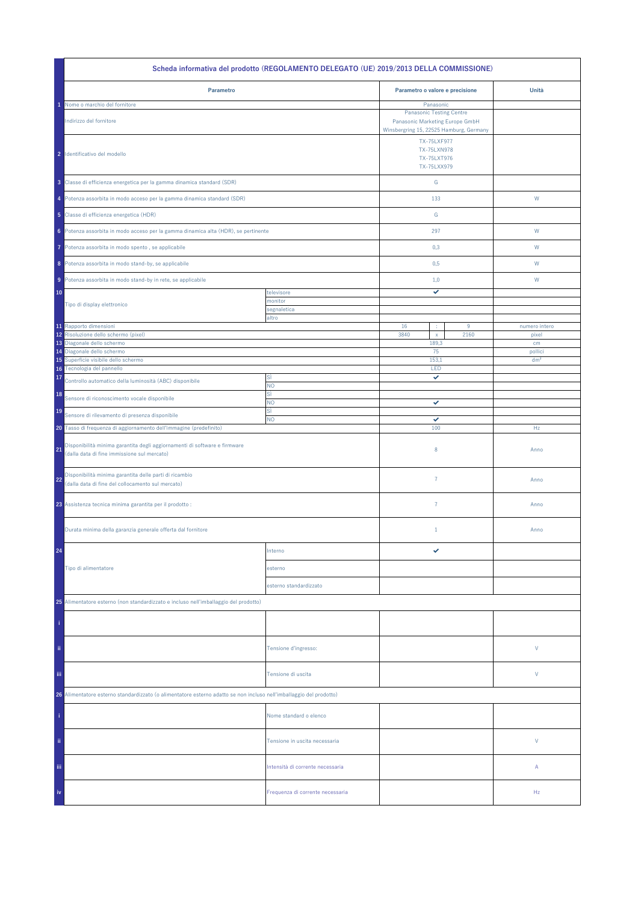|                                                                                                                                | Scheda informativa del prodotto (REGOLAMENTO DELEGATO (UE) 2019/2013 DELLA COMMISSIONE) |                                                                                                     |      |                            |
|--------------------------------------------------------------------------------------------------------------------------------|-----------------------------------------------------------------------------------------|-----------------------------------------------------------------------------------------------------|------|----------------------------|
| Parametro                                                                                                                      |                                                                                         | Parametro o valore e precisione                                                                     |      | Unità                      |
| Nome o marchio del fornitore                                                                                                   |                                                                                         | Panasonic                                                                                           |      |                            |
| Indirizzo del fornitore                                                                                                        |                                                                                         | <b>Panasonic Testing Centre</b><br>Panasonic Marketing Europe GmbH                                  |      |                            |
| 2 Identificativo del modello                                                                                                   |                                                                                         | Winsbergring 15, 22525 Hamburg, Germany<br>TX-75LXF977<br>TX-75LXN978<br>TX-75LXT976<br>TX-75LXX979 |      |                            |
| 3 Classe di efficienza energetica per la gamma dinamica standard (SDR)                                                         |                                                                                         | ${\mathsf G}$                                                                                       |      |                            |
| 4 Potenza assorbita in modo acceso per la gamma dinamica standard (SDR)                                                        |                                                                                         | 133                                                                                                 |      | W                          |
| 5 Classe di efficienza energetica (HDR)                                                                                        |                                                                                         | ${\mathbb G}$                                                                                       |      |                            |
| 6 Potenza assorbita in modo acceso per la gamma dinamica alta (HDR), se pertinente                                             |                                                                                         | 297                                                                                                 |      | W                          |
| Potenza assorbita in modo spento, se applicabile<br>7                                                                          |                                                                                         | 0,3                                                                                                 |      | W                          |
| 8 Potenza assorbita in modo stand-by, se applicabile                                                                           |                                                                                         | 0,5                                                                                                 |      | W                          |
| 9 Potenza assorbita in modo stand-by in rete, se applicabile                                                                   |                                                                                         | 1,0                                                                                                 |      | W                          |
| 10                                                                                                                             | televisore<br>monitor                                                                   | ✓                                                                                                   |      |                            |
| Tipo di display elettronico                                                                                                    | segnaletica                                                                             |                                                                                                     |      |                            |
| 11 Rapporto dimensioni                                                                                                         | altro                                                                                   | 16<br>÷                                                                                             | 9    | numero intero              |
| Risoluzione dello schermo (pixel)<br>12                                                                                        |                                                                                         | 3840<br>$\mathsf X$                                                                                 | 2160 | pixel                      |
| 13 Diagonale dello schermo                                                                                                     |                                                                                         | 189,3                                                                                               |      | cm                         |
| 14 Diagonale dello schermo<br>Superficie visibile dello schermo<br>15                                                          |                                                                                         | 75<br>153,1                                                                                         |      | pollici<br>dm <sup>2</sup> |
| Tecnologia del pannello<br>16                                                                                                  |                                                                                         | LED                                                                                                 |      |                            |
| 17<br>Controllo automatico della luminosità (ABC) disponibile                                                                  | SÌ<br>NO.                                                                               | ✓                                                                                                   |      |                            |
| 18<br>Sensore di riconoscimento vocale disponibile                                                                             | sì<br>NO.                                                                               | ✓                                                                                                   |      |                            |
| 19<br>Sensore di rilevamento di presenza disponibile                                                                           | sì                                                                                      |                                                                                                     |      |                            |
| 20 Tasso di frequenza di aggiornamento dell'immagine (predefinito)                                                             | <b>NO</b>                                                                               | ✓<br>100                                                                                            |      | Hz                         |
| Disponibilità minima garantita degli aggiornamenti di software e firmware<br>21<br>(dalla data di fine immissione sul mercato) |                                                                                         | $\,$ 8 $\,$                                                                                         |      | Anno                       |
| Disponibilità minima garantita delle parti di ricambio<br>22<br>(dalla data di fine del collocamento sul mercato)              |                                                                                         | $\overline{7}$                                                                                      |      | Anno                       |
| 23 Assistenza tecnica minima garantita per il prodotto :                                                                       |                                                                                         | $\overline{7}$                                                                                      |      | Anno                       |
| Durata minima della garanzia generale offerta dal fornitore                                                                    |                                                                                         | $1\,$                                                                                               |      | Anno                       |
| 24                                                                                                                             | Interno                                                                                 | ✓                                                                                                   |      |                            |
| Tipo di alimentatore                                                                                                           | esterno                                                                                 |                                                                                                     |      |                            |
|                                                                                                                                | esterno standardizzato                                                                  |                                                                                                     |      |                            |
| 25 Alimentatore esterno (non standardizzato e incluso nell'imballaggio del prodotto)                                           |                                                                                         |                                                                                                     |      |                            |
|                                                                                                                                |                                                                                         |                                                                                                     |      |                            |
| ii.                                                                                                                            | Tensione d'ingresso:                                                                    |                                                                                                     |      | V                          |
| iii.                                                                                                                           | Tensione di uscita                                                                      |                                                                                                     |      | V                          |
| 26 Alimentatore esterno standardizzato (o alimentatore esterno adatto se non incluso nell'imballaggio del prodotto)            |                                                                                         |                                                                                                     |      |                            |
|                                                                                                                                | Nome standard o elenco                                                                  |                                                                                                     |      |                            |
| ii.                                                                                                                            | Tensione in uscita necessaria                                                           |                                                                                                     |      | V                          |
| Ϊij                                                                                                                            | Intensità di corrente necessaria                                                        |                                                                                                     |      | Α                          |
| iv                                                                                                                             | Frequenza di corrente necessaria                                                        |                                                                                                     |      | Hz                         |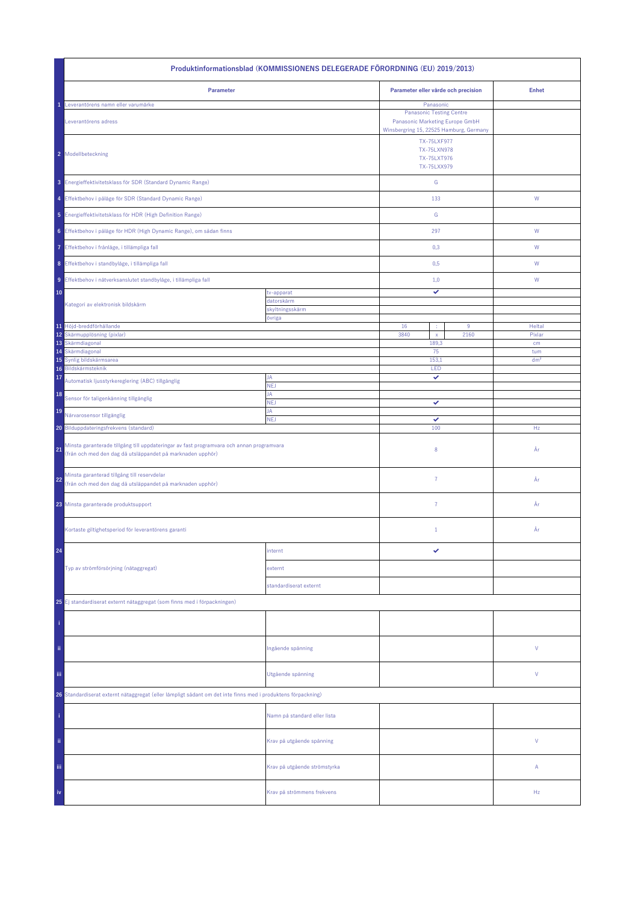| Produktinformationsblad (KOMMISSIONENS DELEGERADE FÖRORDNING (EU) 2019/2013)                                                                                 |                              |                                                                                                                            |    |                 |  |
|--------------------------------------------------------------------------------------------------------------------------------------------------------------|------------------------------|----------------------------------------------------------------------------------------------------------------------------|----|-----------------|--|
| Parameter                                                                                                                                                    |                              | Parameter eller värde och precision                                                                                        |    | <b>Enhet</b>    |  |
| Leverantörens namn eller varumärke<br>Leverantörens adress                                                                                                   |                              | Panasonic<br><b>Panasonic Testing Centre</b><br>Panasonic Marketing Europe GmbH<br>Winsbergring 15, 22525 Hamburg, Germany |    |                 |  |
| 2 Modellbeteckning                                                                                                                                           |                              | <b>TX-75LXF977</b><br>TX-75LXN978<br>TX-75LXT976<br>TX-75LXX979                                                            |    |                 |  |
| 3 Energieffektivitetsklass för SDR (Standard Dynamic Range)                                                                                                  |                              | ${\mathsf G}$                                                                                                              |    |                 |  |
| 4 Effektbehov i påläge för SDR (Standard Dynamic Range)                                                                                                      |                              | 133                                                                                                                        |    | ${\mathsf W}$   |  |
| 5 Energieffektivitetsklass för HDR (High Definition Range)                                                                                                   |                              | ${\mathbb G}$                                                                                                              |    |                 |  |
| 6 Effektbehov i påläge för HDR (High Dynamic Range), om sådan finns                                                                                          |                              | 297                                                                                                                        |    | W               |  |
| 7 Effektbehov i frånläge, i tillämpliga fall                                                                                                                 |                              | 0,3                                                                                                                        |    | W               |  |
| 8 Effektbehov i standbyläge, i tillämpliga fall                                                                                                              |                              | 0,5                                                                                                                        |    | W               |  |
| 9 Effektbehov i nätverksanslutet standbyläge, i tillämpliga fall                                                                                             |                              | 1,0                                                                                                                        |    | W               |  |
| 10                                                                                                                                                           | tv-apparat<br>datorskärm     | ✓                                                                                                                          |    |                 |  |
| Kategori av elektronisk bildskärm                                                                                                                            | skyltningsskärm              |                                                                                                                            |    |                 |  |
| 11 Höjd-breddförhållande                                                                                                                                     | övriga                       | 16<br>$9\,$<br>÷                                                                                                           |    | Heltal          |  |
| 12 Skärmupplösning (pixlar)<br>13 Skärmdiagonal                                                                                                              |                              | 3840<br>2160<br>$\mathsf{x}$<br>189,3                                                                                      |    | Pixlar<br>cm    |  |
| Skärmdiagonal<br>14                                                                                                                                          |                              |                                                                                                                            | 75 | tum             |  |
| Synlig bildskärmsarea<br>15<br>Bildskärmsteknik<br>16                                                                                                        |                              | 153,1<br>LED                                                                                                               |    | dm <sup>2</sup> |  |
| 17<br>Automatisk ljusstyrkereglering (ABC) tillgänglig                                                                                                       | JA                           | ✓                                                                                                                          |    |                 |  |
| 18<br>Sensor för taligenkänning tillgänglig                                                                                                                  | <b>NEJ</b><br>JA             |                                                                                                                            |    |                 |  |
| 19                                                                                                                                                           | <b>NEJ</b><br>JA             | ✓                                                                                                                          |    |                 |  |
| Närvarosensor tillgänglig<br>20 Bilduppdateringsfrekvens (standard)                                                                                          | <b>NEJ</b>                   | ✓<br>100                                                                                                                   |    | Hz              |  |
| Minsta garanterade tillgång till uppdateringar av fast programvara och annan programvara<br>21<br>(från och med den dag då utsläppandet på marknaden upphör) |                              | 8                                                                                                                          |    | År              |  |
| Minsta garanterad tillgång till reservdelar<br>22<br>(från och med den dag då utsläppandet på marknaden upphör)                                              |                              | $\overline{7}$                                                                                                             |    | År              |  |
| 23 Minsta garanterade produktsupport                                                                                                                         |                              | $\overline{7}$                                                                                                             |    | År              |  |
| Kortaste giltighetsperiod för leverantörens garanti                                                                                                          |                              | $\mathbf{1}$                                                                                                               |    | År              |  |
| 24                                                                                                                                                           | internt                      | ✓                                                                                                                          |    |                 |  |
| Typ av strömförsörjning (nätaggregat)                                                                                                                        | externt                      |                                                                                                                            |    |                 |  |
|                                                                                                                                                              | standardiserat externt       |                                                                                                                            |    |                 |  |
| 25 Ej standardiserat externt nätaggregat (som finns med i förpackningen)                                                                                     |                              |                                                                                                                            |    |                 |  |
|                                                                                                                                                              |                              |                                                                                                                            |    |                 |  |
| ii.                                                                                                                                                          | Ingående spänning            |                                                                                                                            |    | ٧               |  |
| Ϊij                                                                                                                                                          | Utgående spänning            |                                                                                                                            |    | ٧               |  |
| 26 Standardiserat externt nätaggregat (eller lämpligt sådant om det inte finns med i produktens förpackning)                                                 |                              |                                                                                                                            |    |                 |  |
|                                                                                                                                                              | Namn på standard eller lista |                                                                                                                            |    |                 |  |
| ii.                                                                                                                                                          | Krav på utgående spänning    |                                                                                                                            |    | V               |  |
| Ϊij                                                                                                                                                          | Krav på utgående strömstyrka |                                                                                                                            |    | Α               |  |
| iv                                                                                                                                                           | Krav på strömmens frekvens   |                                                                                                                            |    | Hz              |  |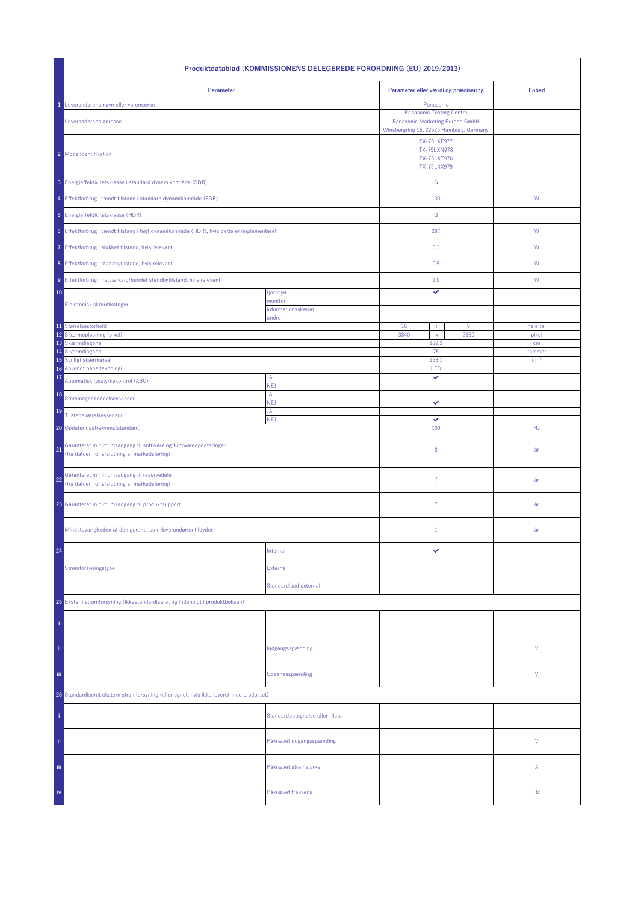| Produktdatablad (KOMMISSIONENS DELEGEREDE FORORDNING (EU) 2019/2013)                                                 |                                 |                                                                                                               |                   |  |  |
|----------------------------------------------------------------------------------------------------------------------|---------------------------------|---------------------------------------------------------------------------------------------------------------|-------------------|--|--|
| Parameter                                                                                                            |                                 | Parameter eller værdi og præcisering                                                                          | <b>Enhed</b>      |  |  |
| Leverandørens navn eller varemærke                                                                                   |                                 | Panasonic                                                                                                     |                   |  |  |
| Leverandørens adresse                                                                                                |                                 | <b>Panasonic Testing Centre</b><br>Panasonic Marketing Europe GmbH<br>Winsbergring 15, 22525 Hamburg, Germany |                   |  |  |
| 2 Modelidentifikation                                                                                                |                                 | <b>TX-75LXF977</b><br><b>TX-75LXN978</b><br>TX-75LXT976<br>TX-75LXX979                                        |                   |  |  |
| 3 Energieffektivitetsklasse i standard dynamikområde (SDR)                                                           |                                 | ${\mathbb G}$                                                                                                 |                   |  |  |
| 4 Effektforbrug i tændt tilstand i standard dynamikområde (SDR)                                                      |                                 | 133                                                                                                           | W                 |  |  |
| 5 Energieffektivitetsklasse (HDR)                                                                                    |                                 | ${\mathbb G}$                                                                                                 |                   |  |  |
| 6 Effektforbrug i tændt tilstand i højt dynamikområde (HDR), hvis dette er implementeret                             |                                 | 297                                                                                                           | ${\sf W}$         |  |  |
| 7 Effektforbrug i slukket tilstand, hvis relevant                                                                    |                                 | 0,3                                                                                                           | W                 |  |  |
| 8 Effektforbrug i standbytilstand, hvis relevant                                                                     |                                 | 0,5                                                                                                           | W                 |  |  |
| 9 Effektforbrug i netværksforbundet standbytilstand, hvis relevant                                                   |                                 | 1,0                                                                                                           | W                 |  |  |
| 10                                                                                                                   | fjernsyn                        | ✓                                                                                                             |                   |  |  |
| Elektronisk skærmkategori                                                                                            | monitor<br>informationsskærm    |                                                                                                               |                   |  |  |
|                                                                                                                      | andre                           |                                                                                                               |                   |  |  |
| 11 Størrelsesforhold<br>12<br>Skærmopløsning (pixel)                                                                 |                                 | 16<br>$9\,$<br>×<br>3840<br>2160<br>$\mathsf{x}$                                                              | hele tal<br>pixel |  |  |
| 13 Skærmdiagonal                                                                                                     |                                 | 189,3                                                                                                         | cm                |  |  |
| Skærmdiagonal<br>14                                                                                                  |                                 | 75                                                                                                            | tommer            |  |  |
| 15<br>Synligt skærmareal<br>16 Anvendt panelteknologi                                                                |                                 | 153,1<br>LED                                                                                                  | dm <sup>2</sup>   |  |  |
| 17<br>Automatisk lysstyrkekontrol (ABC)                                                                              | JA<br>NEJ                       | ✓                                                                                                             |                   |  |  |
| 18<br>Stemmegenkendelsessensor                                                                                       | JA<br><b>NEJ</b>                | ✓                                                                                                             |                   |  |  |
| 19<br>Tilstedeværelsessensor                                                                                         | JA<br><b>NEJ</b>                | ✓                                                                                                             |                   |  |  |
| 20 Opdateringsfrekvens (standard)                                                                                    |                                 | 100                                                                                                           | Hz                |  |  |
| Garanteret minimumsadgang til software og firmwareopdateringer<br>21<br>(fra datoen for afslutning af markedsføring) |                                 | 8                                                                                                             | år                |  |  |
| Garanteret minimumsadgang til reservedele<br>22<br>(fra datoen for afslutning af markedsføring)                      |                                 | $\overline{7}$                                                                                                | år                |  |  |
| 23 Garanteret minimumsadgang til produktsupport                                                                      |                                 | $\overline{7}$                                                                                                | år                |  |  |
| Mindstevarigheden af den garanti, som leverandøren tilbyder                                                          |                                 | $\mathbf{1}$                                                                                                  | år                |  |  |
| 24                                                                                                                   | Internal                        | ✓                                                                                                             |                   |  |  |
| Strømforsyningstype                                                                                                  | External                        |                                                                                                               |                   |  |  |
|                                                                                                                      | <b>Standardised external</b>    |                                                                                                               |                   |  |  |
| 25 Ekstern strømforsyning (ikkestandardiseret og indeholdt i produktboksen)                                          |                                 |                                                                                                               |                   |  |  |
|                                                                                                                      |                                 |                                                                                                               |                   |  |  |
| ii.                                                                                                                  | Indgangsspænding                |                                                                                                               | V                 |  |  |
| Ϊij                                                                                                                  | Udgangsspænding                 |                                                                                                               | V                 |  |  |
| 26 Standardiseret ekstern strømforsyning (eller egnet, hvis ikke leveret med produktet)                              |                                 |                                                                                                               |                   |  |  |
|                                                                                                                      | Standardbetegnelse eller -liste |                                                                                                               |                   |  |  |
| ii.                                                                                                                  | Påkrævet udgangsspænding        |                                                                                                               | V                 |  |  |
| iii.                                                                                                                 | Påkrævet strømstyrke            |                                                                                                               | Α                 |  |  |
| iv                                                                                                                   | Påkrævet frekvens               |                                                                                                               | Hz                |  |  |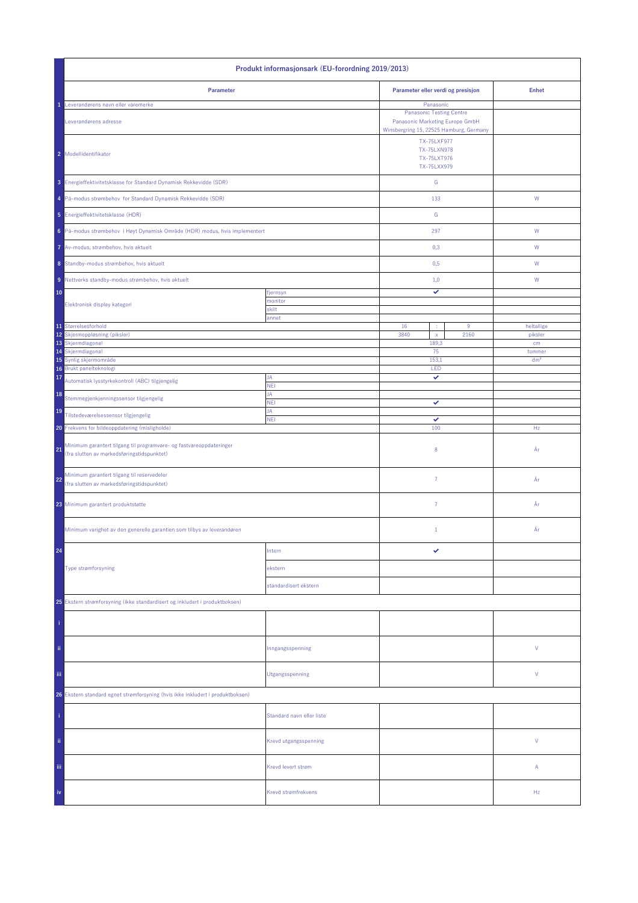| Produkt informasjonsark (EU-forordning 2019/2013)                                                                       |                           |                                                                        |                                                                                                               |                 |
|-------------------------------------------------------------------------------------------------------------------------|---------------------------|------------------------------------------------------------------------|---------------------------------------------------------------------------------------------------------------|-----------------|
| Parameter                                                                                                               |                           | Parameter eller verdi og presisjon                                     |                                                                                                               | <b>Enhet</b>    |
| Leverandørens navn eller varemerke                                                                                      |                           | Panasonic                                                              |                                                                                                               |                 |
| Leverandørens adresse                                                                                                   |                           |                                                                        | <b>Panasonic Testing Centre</b><br>Panasonic Marketing Europe GmbH<br>Winsbergring 15, 22525 Hamburg, Germany |                 |
| 2 Modellidentifikator                                                                                                   |                           | <b>TX-75LXF977</b><br><b>TX-75LXN978</b><br>TX-75LXT976<br>TX-75LXX979 |                                                                                                               |                 |
| 3 Energieffektivitetsklasse for Standard Dynamisk Rekkevidde (SDR)                                                      |                           | ${\mathsf G}$                                                          |                                                                                                               |                 |
| 4 På-modus strømbehov for Standard Dynamisk Rekkevidde (SDR)                                                            |                           | 133                                                                    |                                                                                                               | ${\sf W}$       |
| 5 Energieffektivitetsklasse (HDR)                                                                                       |                           | ${\mathsf G}$                                                          |                                                                                                               |                 |
| 6 På-modus strømbehov i Høyt Dynamisk Område (HDR) modus, hvis implementert                                             |                           | 297                                                                    |                                                                                                               | ${\mathsf W}$   |
| 7 Av-modus, strømbehov, hvis aktuelt                                                                                    |                           | 0,3                                                                    |                                                                                                               | W               |
| 8 Standby-modus strømbehov, hvis aktuelt                                                                                |                           | 0,5                                                                    |                                                                                                               | W               |
| 9 Nettverks standby-modus strømbehov, hvis aktuelt                                                                      |                           | 1,0                                                                    |                                                                                                               | W               |
| 10                                                                                                                      | fjernsyn                  | ✓                                                                      |                                                                                                               |                 |
| Elektronisk display kategori                                                                                            | monitor                   |                                                                        |                                                                                                               |                 |
|                                                                                                                         | skilt<br>annet            |                                                                        |                                                                                                               |                 |
| 11 Størrelsesforhold                                                                                                    |                           | 16<br>÷                                                                | 9                                                                                                             | heltallige      |
| 12 Skjermoppløsning (piksler)<br>13 Skjermdiagonal                                                                      |                           | 3840<br>$\bar{\mathbf{x}}$<br>189,3                                    | 2160                                                                                                          | piksler<br>cm   |
| 14 Skjermdiagonal                                                                                                       |                           | 75                                                                     |                                                                                                               | tommer          |
| 15 Synlig skjermområde                                                                                                  |                           | 153,1                                                                  |                                                                                                               | dm <sup>2</sup> |
| Brukt panelteknologi<br>16<br>17                                                                                        | JA                        | LED<br>✓                                                               |                                                                                                               |                 |
| Automatisk lysstyrkekontroll (ABC) tilgjengelig                                                                         | <b>NEI</b>                |                                                                        |                                                                                                               |                 |
| 18<br>Stemmegjenkjenningssensor tilgjengelig                                                                            | JA<br><b>NEI</b>          | ✓                                                                      |                                                                                                               |                 |
| 19<br>Tilstedeværelsessensor tilgjengelig                                                                               | JA<br><b>NEI</b>          | ✓                                                                      |                                                                                                               |                 |
| 20 Frekvens for bildeoppdatering (misligholde)                                                                          |                           | 100                                                                    |                                                                                                               | Hz              |
| Minimum garantert tilgang til programvare- og fastvareoppdateringer<br>21<br>(fra slutten av markedsføringstidspunktet) |                           | 8                                                                      |                                                                                                               | År              |
| Minimum garantert tilgang til reservedeler<br>22<br>(fra slutten av markedsføringstidspunktet)                          |                           | $\overline{7}$                                                         |                                                                                                               | År              |
| 23 Minimum garantert produktstøtte                                                                                      |                           | 7                                                                      |                                                                                                               | År              |
| Minimum varighet av den generelle garantien som tilbys av leverandøren                                                  |                           | $1\,$                                                                  |                                                                                                               | År              |
| 24                                                                                                                      | Intern                    | ✓                                                                      |                                                                                                               |                 |
| Type strømforsyning                                                                                                     | ekstern                   |                                                                        |                                                                                                               |                 |
|                                                                                                                         | standardisert ekstern     |                                                                        |                                                                                                               |                 |
| 25 Ekstern strømforsyning (ikke standardisert og inkludert i produktboksen)                                             |                           |                                                                        |                                                                                                               |                 |
|                                                                                                                         |                           |                                                                        |                                                                                                               |                 |
|                                                                                                                         |                           |                                                                        |                                                                                                               |                 |
| ii.                                                                                                                     | Inngangsspenning          |                                                                        |                                                                                                               | V               |
| iii.                                                                                                                    | Utgangsspenning           |                                                                        |                                                                                                               | V               |
| 26 Ekstern standard egnet strømforsyning (hvis ikke inkludert i produktboksen)                                          |                           |                                                                        |                                                                                                               |                 |
|                                                                                                                         | Standard navn eller liste |                                                                        |                                                                                                               |                 |
| ii.                                                                                                                     | Krevd utgangsspenning     |                                                                        |                                                                                                               | V               |
| Ϊij                                                                                                                     | Krevd levert strøm        |                                                                        |                                                                                                               | Α               |
| iv                                                                                                                      | Krevd strømfrekvens       |                                                                        |                                                                                                               | Hz              |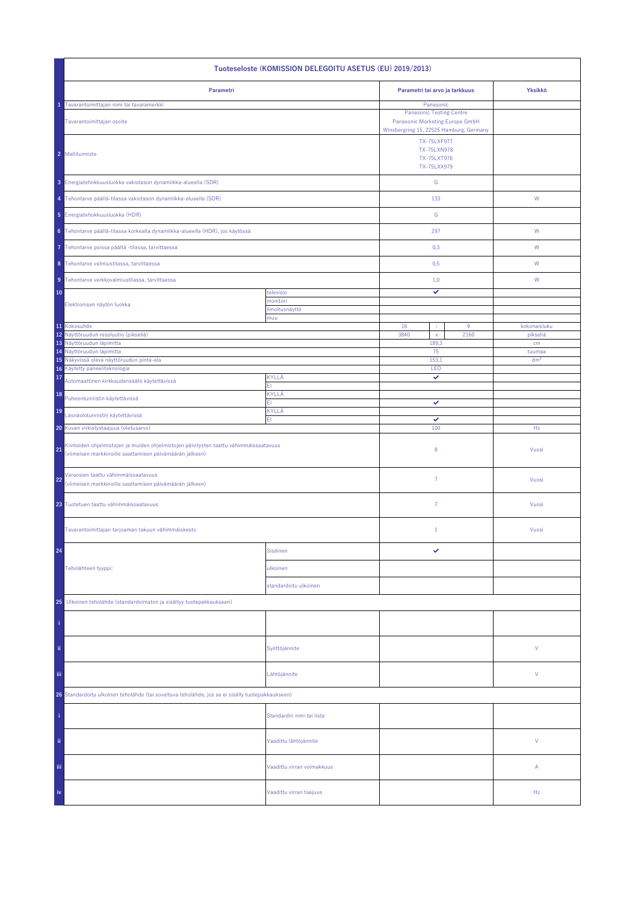| Tuoteseloste (KOMISSION DELEGOITU ASETUS (EU) 2019/2013)                                                                                                 |                            |                                                                            |                    |                           |  |
|----------------------------------------------------------------------------------------------------------------------------------------------------------|----------------------------|----------------------------------------------------------------------------|--------------------|---------------------------|--|
| Parametri                                                                                                                                                |                            | Parametri tai arvo ja tarkkuus                                             |                    | Yksikkö                   |  |
| Tavarantoimittajan nimi tai tavaramerkki                                                                                                                 |                            | Panasonic<br><b>Panasonic Testing Centre</b>                               |                    |                           |  |
| Tavarantoimittajan osoite                                                                                                                                |                            | Panasonic Marketing Europe GmbH<br>Winsbergring 15, 22525 Hamburg, Germany |                    |                           |  |
|                                                                                                                                                          |                            |                                                                            | <b>TX-75LXF977</b> |                           |  |
| 2 Mallitunniste                                                                                                                                          |                            | TX-75LXN978<br><b>TX-75LXT976</b>                                          |                    |                           |  |
|                                                                                                                                                          |                            | TX-75LXX979                                                                |                    |                           |  |
| 3 Energiatehokkuusluokka vakiotason dynamiikka-alueella (SDR)                                                                                            |                            | ${\mathsf G}$                                                              |                    |                           |  |
| 4 Tehontarve päällä-tilassa vakiotason dynamiikka-alueella (SDR)                                                                                         |                            | 133                                                                        |                    | W                         |  |
| 5 Energiatehokkuusluokka (HDR)                                                                                                                           |                            | G                                                                          |                    |                           |  |
| 6 Tehontarve päällä-tilassa korkealla dynamiikka-alueella (HDR), jos käytössä                                                                            |                            | 297                                                                        |                    | W                         |  |
| Tehontarve poissa päältä -tilassa, tarvittaessa                                                                                                          |                            | 0,3                                                                        |                    | W                         |  |
| 8 Tehontarve valmiustilassa, tarvittaessa                                                                                                                |                            | 0,5                                                                        |                    | W                         |  |
| 9 Tehontarve verkkovalmiustilassa, tarvittaessa                                                                                                          |                            | 1,0                                                                        |                    | W                         |  |
| 10                                                                                                                                                       | televisio                  | ✓                                                                          |                    |                           |  |
| Elektronisen näytön luokka                                                                                                                               | monitori<br>ilmoitusnäyttö |                                                                            |                    |                           |  |
| 11 Kokosuhde                                                                                                                                             | muu                        | 16<br>÷                                                                    | 9                  | kokonaisluku              |  |
| 12 Näyttöruudun resoluutio (pikseliä)                                                                                                                    |                            | 3840<br>$\bar{\mathbf{x}}$                                                 | 2160               | pikseliä                  |  |
| 13 Näyttöruudun läpimitta                                                                                                                                |                            | 189,3<br>75                                                                |                    | cm                        |  |
| 14 Näyttöruudun läpimitta<br>15 Näkyvissä oleva näyttöruudun pinta-ala                                                                                   |                            | 153,1                                                                      |                    | tuumaa<br>dm <sup>2</sup> |  |
| Käytetty paneeliteknologia<br>16                                                                                                                         |                            | LED                                                                        |                    |                           |  |
| 17<br>Automaattinen kirkkaudensäätö käytettävissä                                                                                                        | KYLLÄ<br>EI.               | ✓                                                                          |                    |                           |  |
| 18<br>Puheentunnistin käytettävissä                                                                                                                      | KYLLÄ<br>EI.               | ✓                                                                          |                    |                           |  |
| 19<br>Läsnäolotunnistin käytettävissä                                                                                                                    | KYLLÄ<br>EI.               | ✓                                                                          |                    |                           |  |
| 20 Kuvan virkistystaajuus (oletusarvo)                                                                                                                   |                            | 100                                                                        |                    | Hz                        |  |
| Kiinteiden ohjelmistojen ja muiden ohjelmistojen päivitysten taattu vähimmäissaatavuus<br>21<br>(viimeisen markkinoille saattamisen päivämäärän jälkeen) |                            | 8                                                                          |                    | Vuosi                     |  |
| Varaosien taattu vähimmäissaatavuus<br>22<br>(viimeisen markkinoille saattamisen päivämäärän jälkeen)                                                    |                            | $\overline{7}$                                                             |                    | Vuosi                     |  |
| 23 Tuotetuen taattu vähimmäissaatavuus                                                                                                                   |                            | $\overline{7}$                                                             |                    | Vuosi                     |  |
| Tavarantoimittajan tarjoaman takuun vähimmäiskesto                                                                                                       |                            | $\mathbf{1}$                                                               |                    | Vuosi                     |  |
| 24                                                                                                                                                       | Sisäinen                   | ✓                                                                          |                    |                           |  |
| Teholähteen tyyppi:                                                                                                                                      | ulkoinen                   |                                                                            |                    |                           |  |
|                                                                                                                                                          | standardoitu ulkoinen      |                                                                            |                    |                           |  |
| 25<br>Ulkoinen teholähde (standardoimaton ja sisältyy tuotepakkaukseen)                                                                                  |                            |                                                                            |                    |                           |  |
|                                                                                                                                                          |                            |                                                                            |                    |                           |  |
|                                                                                                                                                          |                            |                                                                            |                    |                           |  |
| ii,                                                                                                                                                      | Syöttöjännite              |                                                                            |                    | V                         |  |
| Ϊij                                                                                                                                                      | Lähtöjännite               |                                                                            |                    | V                         |  |
| 26 Standardoitu ulkoinen teholähde (tai soveltuva teholähde, jos se ei sisälly tuotepakkaukseen)                                                         |                            |                                                                            |                    |                           |  |
|                                                                                                                                                          | Standardin nimi tai lista  |                                                                            |                    |                           |  |
| ii.                                                                                                                                                      | Vaadittu lähtöjännite      |                                                                            |                    | V                         |  |
| iii.                                                                                                                                                     | Vaadittu virran voimakkuus |                                                                            |                    | Α                         |  |
| iv                                                                                                                                                       | Vaadittu virran taajuus    |                                                                            |                    | Hz                        |  |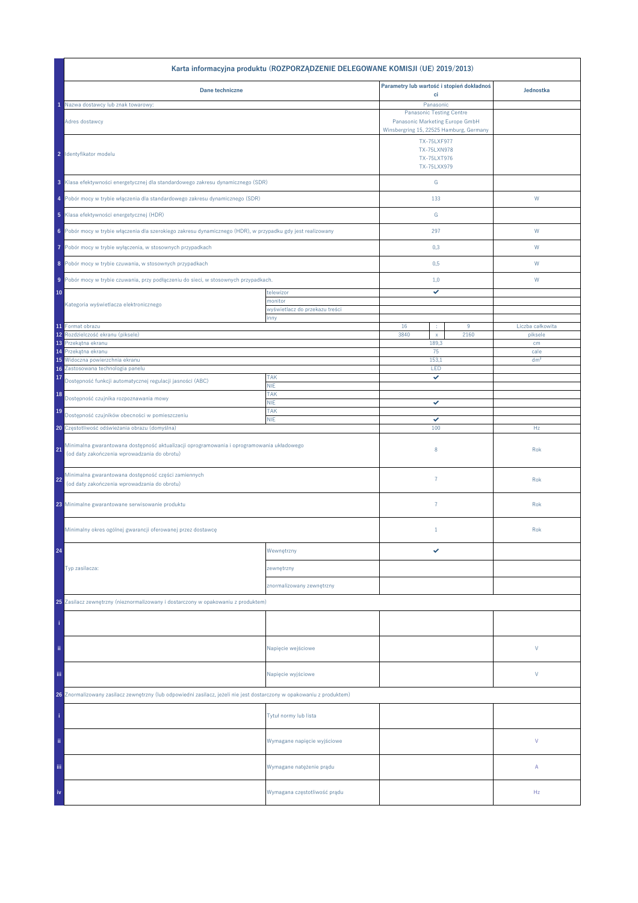|                                                                                                                                           | Karta informacyjna produktu (ROZPORZĄDZENIE DELEGOWANE KOMISJI (UE) 2019/2013) |                                                                    |      |                  |
|-------------------------------------------------------------------------------------------------------------------------------------------|--------------------------------------------------------------------------------|--------------------------------------------------------------------|------|------------------|
| Dane techniczne                                                                                                                           |                                                                                | Parametry lub wartość i stopień dokładnoś                          |      | Jednostka        |
| Nazwa dostawcy lub znak towarowy:                                                                                                         |                                                                                | ci<br>Panasonic                                                    |      |                  |
| Adres dostawcy                                                                                                                            |                                                                                | <b>Panasonic Testing Centre</b><br>Panasonic Marketing Europe GmbH |      |                  |
|                                                                                                                                           |                                                                                | Winsbergring 15, 22525 Hamburg, Germany                            |      |                  |
| 2 Identyfikator modelu                                                                                                                    |                                                                                | TX-75LXF977<br>TX-75LXN978<br>TX-75LXT976<br>TX-75LXX979           |      |                  |
| 3 Klasa efektywności energetycznej dla standardowego zakresu dynamicznego (SDR)                                                           |                                                                                | ${\mathsf G}$                                                      |      |                  |
| 4 Pobór mocy w trybie włączenia dla standardowego zakresu dynamicznego (SDR)                                                              |                                                                                | 133                                                                |      | W                |
| 5 Klasa efektywności energetycznej (HDR)                                                                                                  |                                                                                | ${\mathbb G}$                                                      |      |                  |
| 6 Pobór mocy w trybie włączenia dla szerokiego zakresu dynamicznego (HDR), w przypadku gdy jest realizowany                               |                                                                                | 297                                                                |      | W                |
| Pobór mocy w trybie wyłączenia, w stosownych przypadkach<br>7                                                                             |                                                                                | 0,3                                                                |      | W                |
| 8 Pobór mocy w trybie czuwania, w stosownych przypadkach                                                                                  |                                                                                | 0,5                                                                |      | W                |
| 9 Pobór mocy w trybie czuwania, przy podłączeniu do sieci, w stosownych przypadkach.                                                      |                                                                                | 1,0                                                                |      | W                |
| 10                                                                                                                                        | telewizor<br>monitor                                                           | ✓                                                                  |      |                  |
| Kategoria wyświetlacza elektronicznego                                                                                                    | wyświetlacz do przekazu treści                                                 |                                                                    |      |                  |
| 11 Format obrazu                                                                                                                          | inny                                                                           | 16<br>÷                                                            | 9    | Liczba całkowita |
| Rozdzielczość ekranu (piksele)<br>12                                                                                                      |                                                                                | 3840<br>$\mathsf X$                                                | 2160 | piksele          |
| Przekątna ekranu<br>13<br>Przekątna ekranu<br>14                                                                                          |                                                                                | 189,3<br>75                                                        |      | cm<br>cale       |
| Widoczna powierzchnia ekranu<br>15                                                                                                        |                                                                                | 153,1                                                              |      | dm <sup>2</sup>  |
| Zastosowana technologia panelu<br>16                                                                                                      |                                                                                | LED                                                                |      |                  |
| 17<br>Dostępność funkcji automatycznej regulacji jasności (ABC)                                                                           | <b>TAK</b><br><b>NIE</b>                                                       | ✓                                                                  |      |                  |
| 18<br>Dostępność czujnika rozpoznawania mowy                                                                                              | <b>TAK</b><br><b>NIE</b>                                                       | ✓                                                                  |      |                  |
| 19<br>Dostępność czujników obecności w pomieszczeniu                                                                                      | <b>TAK</b><br><b>NIE</b>                                                       | ✓                                                                  |      |                  |
| 20 Częstotliwość odświeżania obrazu (domyślna)                                                                                            |                                                                                | 100                                                                |      | Hz               |
| Minimalna gwarantowana dostępność aktualizacji oprogramowania i oprogramowania układowego<br>(od daty zakończenia wprowadzania do obrotu) |                                                                                | 8                                                                  |      | Rok              |
| Minimalna gwarantowana dostępność części zamiennych<br>22<br>(od daty zakończenia wprowadzania do obrotu)                                 |                                                                                | $\overline{7}$                                                     |      | Rok              |
| 23 Minimalne gwarantowane serwisowanie produktu                                                                                           |                                                                                | $\overline{7}$                                                     |      | Rok              |
| Minimalny okres ogólnej gwarancji oferowanej przez dostawcę                                                                               |                                                                                | $1\,$                                                              |      | Rok              |
| 24                                                                                                                                        | Wewnętrzny                                                                     | ✓                                                                  |      |                  |
| Typ zasilacza:                                                                                                                            | zewnętrzny                                                                     |                                                                    |      |                  |
|                                                                                                                                           | znormalizowany zewnętrzny                                                      |                                                                    |      |                  |
| 25 Zasilacz zewnętrzny (nieznormalizowany i dostarczony w opakowaniu z produktem)                                                         |                                                                                |                                                                    |      |                  |
|                                                                                                                                           |                                                                                |                                                                    |      |                  |
| ii.                                                                                                                                       | Napięcie wejściowe                                                             |                                                                    |      | V                |
| iii.                                                                                                                                      | Napięcie wyjściowe                                                             |                                                                    |      | V                |
| 26 Znormalizowany zasilacz zewnętrzny (lub odpowiedni zasilacz, jeżeli nie jest dostarczony w opakowaniu z produktem)                     |                                                                                |                                                                    |      |                  |
|                                                                                                                                           | Tytuł normy lub lista                                                          |                                                                    |      |                  |
| ii.                                                                                                                                       | Wymagane napięcie wyjściowe                                                    |                                                                    |      | V                |
| Ϊij                                                                                                                                       | Wymagane natężenie prądu                                                       |                                                                    |      | Α                |
| iv                                                                                                                                        | Wymagana częstotliwość prądu                                                   |                                                                    |      | Hz               |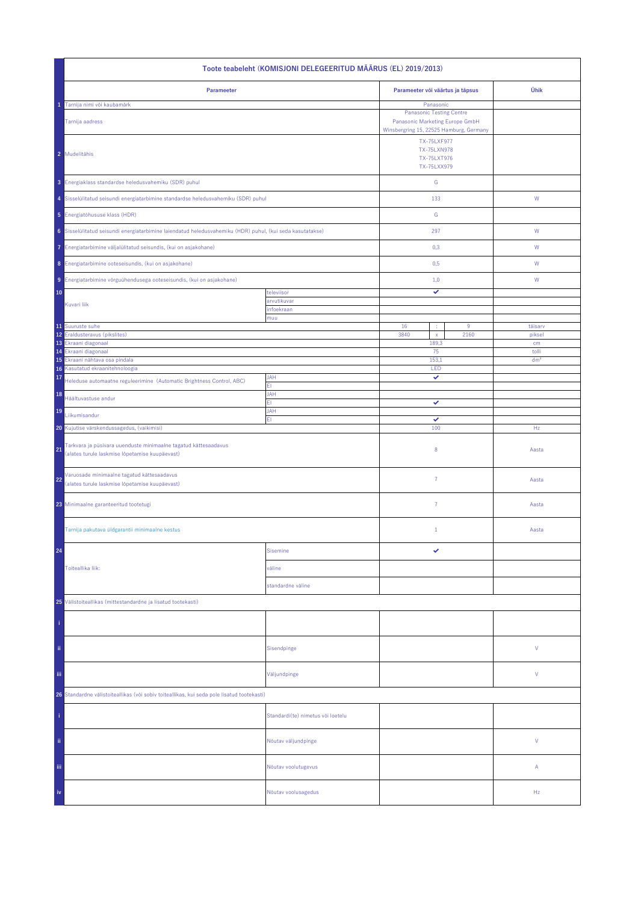| Toote teabeleht (KOMISJONI DELEGEERITUD MÄÄRUS (EL) 2019/2013)                                                          |                                   |                                                                                                                            |                          |              |  |
|-------------------------------------------------------------------------------------------------------------------------|-----------------------------------|----------------------------------------------------------------------------------------------------------------------------|--------------------------|--------------|--|
| Parameeter                                                                                                              |                                   | Parameeter või väärtus ja täpsus                                                                                           | Ühik                     |              |  |
| Tarnija nimi või kaubamärk<br>Tarnija aadress                                                                           |                                   | Panasonic<br><b>Panasonic Testing Centre</b><br>Panasonic Marketing Europe GmbH<br>Winsbergring 15, 22525 Hamburg, Germany |                          |              |  |
| 2 Mudelitähis                                                                                                           |                                   | <b>TX-75LXF977</b><br>TX-75LXN978<br>TX-75LXT976<br>TX-75LXX979                                                            |                          |              |  |
| 3 Energiaklass standardse heledusvahemiku (SDR) puhul                                                                   |                                   | ${\mathsf G}$                                                                                                              |                          |              |  |
| 4 Sisselülitatud seisundi energiatarbimine standardse heledusvahemiku (SDR) puhul                                       |                                   | 133                                                                                                                        |                          | W            |  |
| 5 Energiatõhususe klass (HDR)                                                                                           |                                   | ${\mathsf G}$                                                                                                              |                          |              |  |
| 6 Sisselülitatud seisundi energiatarbimine laiendatud heledusvahemiku (HDR) puhul, (kui seda kasutatakse)               |                                   | 297                                                                                                                        |                          | W            |  |
| 7 Energiatarbimine väljalülitatud seisundis, (kui on asjakohane)                                                        |                                   | 0,3                                                                                                                        |                          | W            |  |
| 8 Energiatarbimine ooteseisundis, (kui on asjakohane)                                                                   |                                   | 0,5                                                                                                                        |                          | W            |  |
| 9 Energiatarbimine võrguühendusega ooteseisundis, (kui on asjakohane)                                                   |                                   | 1,0                                                                                                                        |                          | W            |  |
| 10                                                                                                                      | televiisor<br>arvutikuvar         | ✓                                                                                                                          |                          |              |  |
| Kuvari liik                                                                                                             | infoekraan                        |                                                                                                                            |                          |              |  |
| 11 Suuruste suhe                                                                                                        | muu                               | 16                                                                                                                         | 9                        | täisarv      |  |
| 12 Eraldusteravus (pikslites)<br>13 Ekraani diagonaal                                                                   |                                   | 3840<br>$\bar{\mathbf{x}}$<br>2160<br>189,3                                                                                |                          | piksel<br>cm |  |
| Ekraani diagonaal<br>14<br>15<br>Ekraani nähtava osa pindala                                                            | 75<br>153,1                       |                                                                                                                            | tolli<br>dm <sup>2</sup> |              |  |
| Kasutatud ekraanitehnoloogia<br>16                                                                                      |                                   | LED                                                                                                                        |                          |              |  |
| 17<br>Heleduse automaatne reguleerimine (Automatic Brightness Control, ABC)                                             | <b>JAH</b><br>ΕI                  | ✓                                                                                                                          |                          |              |  |
| 18<br>Häältuvastuse andur                                                                                               | <b>JAH</b><br>FI.                 | ✓                                                                                                                          |                          |              |  |
| 19<br>Liikumisandur                                                                                                     | JAH<br>EI.                        | ✓                                                                                                                          |                          |              |  |
| 20 Kujutise värskendussagedus, (vaikimisi)                                                                              |                                   | 100                                                                                                                        |                          | Hz           |  |
| Tarkvara ja püsivara uuenduste minimaalne tagatud kättesaadavus<br>21<br>(alates turule laskmise lõpetamise kuupäevast) |                                   | 8                                                                                                                          |                          | Aasta        |  |
| Varuosade minimaalne tagatud kättesaadavus<br>22<br>(alates turule laskmise lõpetamise kuupäevast)                      |                                   | $\overline{7}$                                                                                                             |                          | Aasta        |  |
| 23 Minimaalne garanteeritud tootetugi                                                                                   |                                   | 7                                                                                                                          |                          | Aasta        |  |
| Tarnija pakutava üldgarantii minimaalne kestus                                                                          |                                   | $\mathbf{1}$                                                                                                               |                          | Aasta        |  |
| 24                                                                                                                      | <b>Sisemine</b>                   | ✓                                                                                                                          |                          |              |  |
| Toiteallika liik:                                                                                                       | väline                            |                                                                                                                            |                          |              |  |
|                                                                                                                         | standardne väline                 |                                                                                                                            |                          |              |  |
| 25 Välistoiteallikas (mittestandardne ja lisatud tootekasti)                                                            |                                   |                                                                                                                            |                          |              |  |
|                                                                                                                         |                                   |                                                                                                                            |                          |              |  |
| ii.                                                                                                                     | Sisendpinge                       |                                                                                                                            |                          | ٧            |  |
| iij                                                                                                                     | Väljundpinge                      |                                                                                                                            |                          | ٧            |  |
| 26 Standardne välistoiteallikas (või sobiv toiteallikas, kui seda pole lisatud tootekasti)                              |                                   |                                                                                                                            |                          |              |  |
|                                                                                                                         | Standardi(te) nimetus või loetelu |                                                                                                                            |                          |              |  |
| ii.                                                                                                                     | Nõutav väljundpinge               |                                                                                                                            |                          | V            |  |
| Ϊij                                                                                                                     | Nõutav voolutugevus               |                                                                                                                            |                          | Α            |  |
| iv                                                                                                                      | Nõutav voolusagedus               |                                                                                                                            |                          | Hz           |  |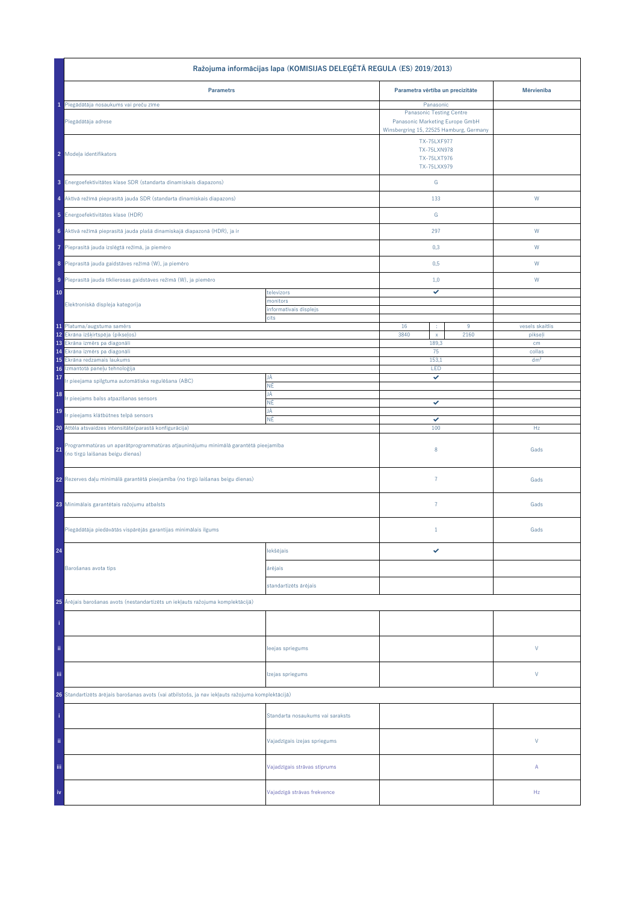| Ražojuma informācijas lapa (KOMISIJAS DELEĢĒTĀ REGULA (ES) 2019/2013)                                                        |                                  |                                                                                                                              |                                                  |                 |  |
|------------------------------------------------------------------------------------------------------------------------------|----------------------------------|------------------------------------------------------------------------------------------------------------------------------|--------------------------------------------------|-----------------|--|
| <b>Parametrs</b>                                                                                                             |                                  | Parametra vērtība un precizitāte                                                                                             |                                                  | Mērvienība      |  |
| 1 Piegādātāja nosaukums vai preču zīme                                                                                       |                                  | Panasonic                                                                                                                    |                                                  |                 |  |
| Piegādātāja adrese                                                                                                           |                                  | <b>Panasonic Testing Centre</b><br>Panasonic Marketing Europe GmbH<br>Winsbergring 15, 22525 Hamburg, Germany<br>TX-75LXF977 |                                                  |                 |  |
| 2 Modeļa identifikators                                                                                                      |                                  |                                                                                                                              | <b>TX-75LXN978</b><br>TX-75LXT976<br>TX-75LXX979 |                 |  |
| 3 Energoefektivitātes klase SDR (standarta dinamiskais diapazons)                                                            |                                  | ${\mathbb G}$                                                                                                                |                                                  |                 |  |
| 4 Aktīvā režīmā pieprasītā jauda SDR (standarta dinamiskais diapazons)                                                       |                                  | 133                                                                                                                          |                                                  | W               |  |
| 5 Energoefektivitätes klase (HDR)                                                                                            |                                  | G                                                                                                                            |                                                  |                 |  |
| 6 Aktīvā režīmā pieprasītā jauda plašā dinamiskajā diapazonā (HDR), ja ir                                                    |                                  | 297                                                                                                                          |                                                  | W               |  |
| Pieprasītā jauda izslēgtā režīmā, ja piemēro<br>7                                                                            |                                  | 0,3                                                                                                                          |                                                  | W               |  |
| 8 Pieprasītā jauda gaidstāves režīmā (W), ja piemēro                                                                         |                                  | 0,5                                                                                                                          |                                                  | W               |  |
| 9 Pieprasītā jauda tīklierosas gaidstāves režīmā (W), ja piemēro                                                             |                                  | 1,0<br>✓                                                                                                                     |                                                  | W               |  |
| 10<br>Elektroniskā displeja kategorija                                                                                       | televizors<br>monitors           |                                                                                                                              |                                                  |                 |  |
|                                                                                                                              | informatīvais displejs<br>cits   |                                                                                                                              |                                                  |                 |  |
| 11 Platuma/augstuma samērs                                                                                                   |                                  | 16<br>$9\,$<br>$\cdot$                                                                                                       |                                                  | vesels skaitlis |  |
| 12 Ekrāna izšķirtspēja (pikseļos)<br>13 Ekrâna izmêrs pa diagonâli                                                           |                                  | 3840<br>2160<br>$\mathsf X$<br>189,3                                                                                         |                                                  | pikseļi<br>cm   |  |
| Ekrâna izmêrs pa diagonâli<br>14                                                                                             |                                  | 75                                                                                                                           |                                                  | collas          |  |
| Ekrāna redzamais laukums<br>15<br>Izmantotā paneļu tehnoloģija<br>16                                                         |                                  | 153,1<br>LED                                                                                                                 |                                                  | dm <sup>2</sup> |  |
| 17<br>r pieejama spilgtuma automātiska regulēšana (ABC)                                                                      | JĀ                               | ✓                                                                                                                            |                                                  |                 |  |
| 18<br>r pieejams balss atpazīšanas sensors                                                                                   | ΝĒ<br>JĀ                         |                                                                                                                              |                                                  |                 |  |
| 19                                                                                                                           | ΝĒ<br>JĀ                         | ✓                                                                                                                            |                                                  |                 |  |
| Ir pieejams klātbūtnes telpā sensors<br>20 Attēla atsvaidzes intensitāte (parastā konfigurācija)                             | ΝĒ                               | ✓<br>100                                                                                                                     |                                                  | Hz              |  |
|                                                                                                                              |                                  |                                                                                                                              |                                                  |                 |  |
| Programmatūras un aparātprogrammatūras atjauninājumu minimālā garantētā pieejamība<br>21<br>(no tirgū laišanas beigu dienas) |                                  | 8                                                                                                                            |                                                  | Gads            |  |
| 22 Rezerves daļu minimālā garantētā pieejamība (no tirgū laišanas beigu dienas)                                              |                                  | $\overline{7}$                                                                                                               |                                                  | Gads            |  |
| 23 Minimālais garantētais ražojumu atbalsts                                                                                  |                                  | $\overline{7}$                                                                                                               |                                                  | Gads            |  |
| Piegādātāja piedāvātās vispārējās garantijas minimālais ilgums                                                               |                                  | $\mathbf{1}$                                                                                                                 |                                                  | Gads            |  |
| 24                                                                                                                           | lekšējais                        | ✓                                                                                                                            |                                                  |                 |  |
| Barošanas avota tips                                                                                                         | ārējais                          |                                                                                                                              |                                                  |                 |  |
|                                                                                                                              | standartizēts ārējais            |                                                                                                                              |                                                  |                 |  |
| 25 Ārējais barošanas avots (nestandartizēts un iekļauts ražojuma komplektācijā)                                              |                                  |                                                                                                                              |                                                  |                 |  |
|                                                                                                                              |                                  |                                                                                                                              |                                                  |                 |  |
| ii.                                                                                                                          | leejas spriegums                 |                                                                                                                              |                                                  | V               |  |
| Ϊij                                                                                                                          | Izejas spriegums                 |                                                                                                                              |                                                  | V               |  |
| 26 Standartizēts ārējais barošanas avots (vai atbilstošs, ja nav iekļauts ražojuma komplektācijā)                            |                                  |                                                                                                                              |                                                  |                 |  |
|                                                                                                                              | Standarta nosaukums vai saraksts |                                                                                                                              |                                                  |                 |  |
| ii.                                                                                                                          | Vajadzīgais izejas spriegums     |                                                                                                                              |                                                  | $\mathsf{V}$    |  |
| iii.                                                                                                                         | Vajadzīgais strāvas stiprums     |                                                                                                                              |                                                  | Α               |  |
| iv                                                                                                                           | Vajadzīgā strāvas frekvence      |                                                                                                                              |                                                  | Hz              |  |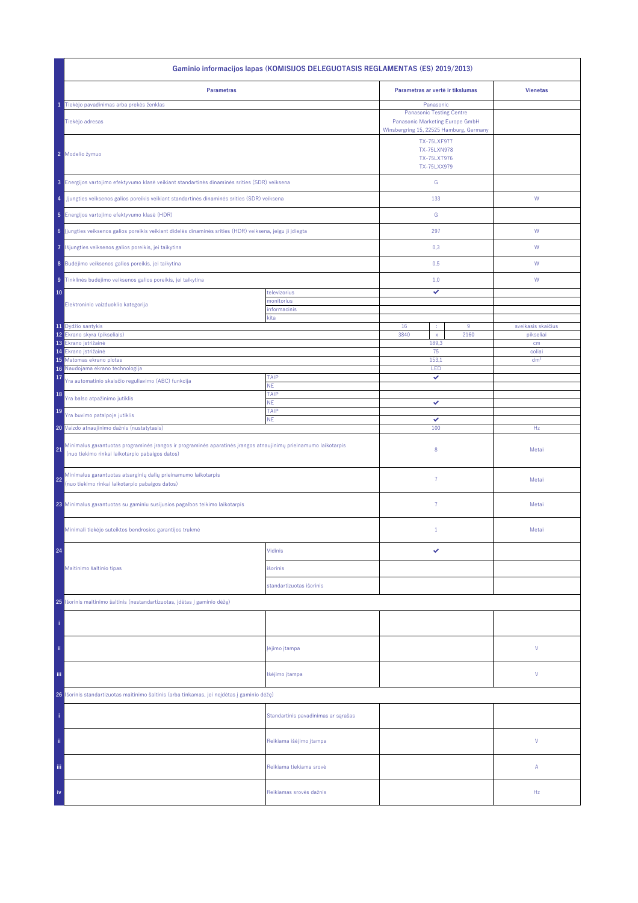| Gaminio informacijos lapas (KOMISIJOS DELEGUOTASIS REGLAMENTAS (ES) 2019/2013)                                                                                           |                                     |                                                                                                                            |  |                                 |  |
|--------------------------------------------------------------------------------------------------------------------------------------------------------------------------|-------------------------------------|----------------------------------------------------------------------------------------------------------------------------|--|---------------------------------|--|
| <b>Parametras</b>                                                                                                                                                        |                                     | Parametras ar vertė ir tikslumas                                                                                           |  | <b>Vienetas</b>                 |  |
| Tiekėjo pavadinimas arba prekės ženklas<br>Tiekėjo adresas                                                                                                               |                                     | Panasonic<br><b>Panasonic Testing Centre</b><br>Panasonic Marketing Europe GmbH<br>Winsbergring 15, 22525 Hamburg, Germany |  |                                 |  |
| 2 Modelio žymuo                                                                                                                                                          |                                     | <b>TX-75LXF977</b><br><b>TX-75LXN978</b><br>TX-75LXT976<br>TX-75LXX979                                                     |  |                                 |  |
| 3 Energijos vartojimo efektyvumo klasė veikiant standartinės dinaminės srities (SDR) veiksena                                                                            |                                     | ${\mathsf G}$                                                                                                              |  |                                 |  |
| Jjungties veiksenos galios poreikis veikiant standartinės dinaminės srities (SDR) veiksena<br>4                                                                          |                                     | 133                                                                                                                        |  | ${\mathsf W}$                   |  |
| 5 Energijos vartojimo efektyvumo klasė (HDR)                                                                                                                             |                                     | G                                                                                                                          |  |                                 |  |
| 6 Jjungties veiksenos galios poreikis veikiant didelės dinaminės srities (HDR) veiksena, jeigu ji įdiegta                                                                |                                     | 297                                                                                                                        |  | W                               |  |
| Išjungties veiksenos galios poreikis, jei taikytina<br>7                                                                                                                 |                                     | 0,3                                                                                                                        |  | W                               |  |
| 8 Budėjimo veiksenos galios poreikis, jei taikytina                                                                                                                      |                                     | 0,5                                                                                                                        |  | W                               |  |
| 9 Tinklinės budėjimo veiksenos galios poreikis, jei taikytina                                                                                                            |                                     | 1,0                                                                                                                        |  | W                               |  |
| 10<br>Elektroninio vaizduoklio kategorija                                                                                                                                | televizorius<br>monitorius          | ✓                                                                                                                          |  |                                 |  |
|                                                                                                                                                                          | informacinis<br>kita                |                                                                                                                            |  |                                 |  |
| 11 Dydžio santykis<br>12 <sup>°</sup><br>Ekrano skyra (pikseliais)                                                                                                       |                                     | 16<br>9<br>÷<br>3840<br>2160<br>$\mathsf{x}$                                                                               |  | sveikasis skaičius<br>pikseliai |  |
| 13<br>Ekrano įstrižainė                                                                                                                                                  |                                     | 189,3                                                                                                                      |  | cm                              |  |
| 14<br>Ekrano įstrižainė<br>15 Matomas ekrano plotas                                                                                                                      |                                     | 75<br>153,1                                                                                                                |  | coliai<br>dm <sup>2</sup>       |  |
| Naudojama ekrano technologija<br>16                                                                                                                                      |                                     | LED                                                                                                                        |  |                                 |  |
| 17<br>Yra automatinio skaisčio reguliavimo (ABC) funkcija                                                                                                                | TAIP<br>NE.                         | ✓                                                                                                                          |  |                                 |  |
| 18<br>Yra balso atpažinimo jutiklis                                                                                                                                      | TAIP<br><b>NE</b>                   | ✓                                                                                                                          |  |                                 |  |
| 19<br>Yra buvimo patalpoje jutiklis                                                                                                                                      | TAIP<br><b>NE</b>                   | ✓                                                                                                                          |  |                                 |  |
| 20 Vaizdo atnaujinimo dažnis (nustatytasis)                                                                                                                              |                                     | 100                                                                                                                        |  | Hz                              |  |
| Minimalus garantuotas programinės įrangos ir programinės aparatinės įrangos atnaujinimų prieinamumo laikotarpis<br>21<br>(nuo tiekimo rinkai laikotarpio pabaigos datos) |                                     | 8                                                                                                                          |  | Metai                           |  |
| Minimalus garantuotas atsarginių dalių prieinamumo laikotarpis<br>22<br>(nuo tiekimo rinkai laikotarpio pabaigos datos)                                                  |                                     | $\overline{7}$                                                                                                             |  | Metai                           |  |
| 23 Minimalus garantuotas su gaminiu susijusios pagalbos teikimo laikotarpis                                                                                              |                                     | $\overline{7}$                                                                                                             |  | Metai                           |  |
| Minimali tiekėjo suteiktos bendrosios garantijos trukmė                                                                                                                  |                                     | $1\,$                                                                                                                      |  | Metai                           |  |
| 24                                                                                                                                                                       | Vidinis                             | ✓                                                                                                                          |  |                                 |  |
| Maitinimo šaltinio tipas                                                                                                                                                 | išorinis                            |                                                                                                                            |  |                                 |  |
|                                                                                                                                                                          | standartizuotas išorinis            |                                                                                                                            |  |                                 |  |
| 25 Išorinis maitinimo šaltinis (nestandartizuotas, įdėtas į gaminio dėžę)                                                                                                |                                     |                                                                                                                            |  |                                 |  |
|                                                                                                                                                                          |                                     |                                                                                                                            |  |                                 |  |
| ii.                                                                                                                                                                      | įėjimo įtampa                       |                                                                                                                            |  | ٧                               |  |
| Ϊij                                                                                                                                                                      | Išėjimo įtampa                      |                                                                                                                            |  | ٧                               |  |
| Išorinis standartizuotas maitinimo šaltinis (arba tinkamas, jei neįdėtas į gaminio dėžę)<br>26                                                                           |                                     |                                                                                                                            |  |                                 |  |
|                                                                                                                                                                          | Standartinis pavadinimas ar sąrašas |                                                                                                                            |  |                                 |  |
| ii.                                                                                                                                                                      | Reikiama išėjimo įtampa             |                                                                                                                            |  | V                               |  |
| Ϊij                                                                                                                                                                      | Reikiama tiekiama srovė             |                                                                                                                            |  | Α                               |  |
| iv                                                                                                                                                                       | Reikiamas srovės dažnis             |                                                                                                                            |  | Hz                              |  |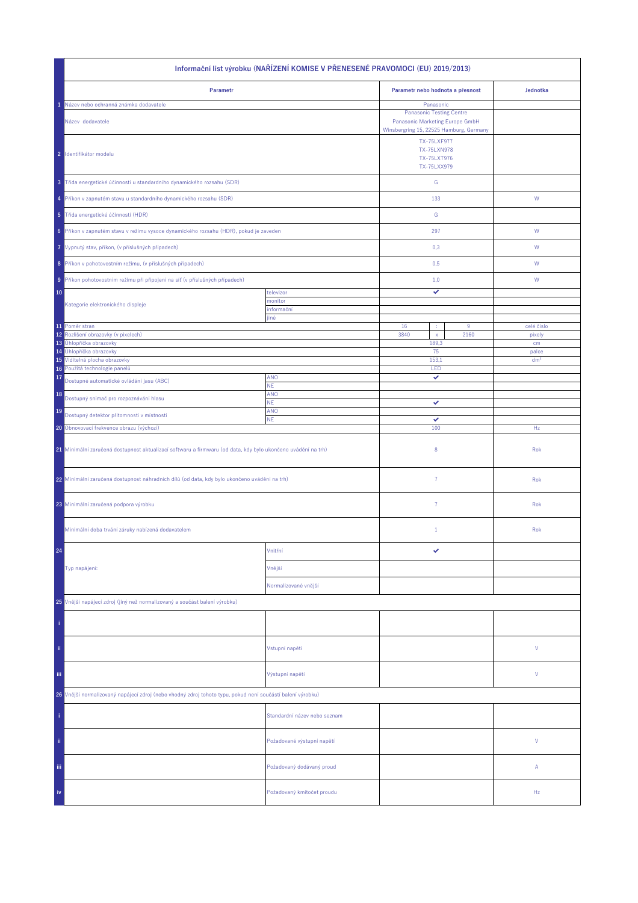| Informační list výrobku (NAŘÍZENÍ KOMISE V PŘENESENÉ PRAVOMOCI (EU) 2019/2013)                               |                              |                                                                                                                            |      |                 |  |  |
|--------------------------------------------------------------------------------------------------------------|------------------------------|----------------------------------------------------------------------------------------------------------------------------|------|-----------------|--|--|
| Parametr                                                                                                     |                              | Parametr nebo hodnota a přesnost                                                                                           |      | Jednotka        |  |  |
| Název nebo ochranná známka dodavatele<br>Název dodavatele                                                    |                              | Panasonic<br><b>Panasonic Testing Centre</b><br>Panasonic Marketing Europe GmbH<br>Winsbergring 15, 22525 Hamburg, Germany |      |                 |  |  |
| 2 Identifikátor modelu                                                                                       |                              | <b>TX-75LXF977</b><br><b>TX-75LXN978</b><br>TX-75LXT976<br>TX-75LXX979                                                     |      |                 |  |  |
| 3 Třída energetické účinnosti u standardního dynamického rozsahu (SDR)                                       |                              | ${\mathsf G}$                                                                                                              |      |                 |  |  |
| 4 Příkon v zapnutém stavu u standardního dynamického rozsahu (SDR)                                           |                              | 133                                                                                                                        |      | ${\mathsf W}$   |  |  |
| 5 Třída energetické účinnosti (HDR)                                                                          |                              | G                                                                                                                          |      |                 |  |  |
| 6 Příkon v zapnutém stavu v režimu vysoce dynamického rozsahu (HDR), pokud je zaveden                        |                              | 297                                                                                                                        |      | W               |  |  |
| 7 Vypnutý stav, příkon, (v příslušných případech)                                                            |                              | 0,3                                                                                                                        |      | W               |  |  |
| 8 Příkon v pohotovostním režimu, (v příslušných případech)                                                   |                              | 0,5                                                                                                                        |      | W               |  |  |
| 9 Příkon pohotovostním režimu při připojení na síť (v příslušných případech)                                 |                              | 1,0                                                                                                                        |      | W               |  |  |
| 10                                                                                                           | televizor<br>monitor         | ✓                                                                                                                          |      |                 |  |  |
| Kategorie elektronického displeje                                                                            | informační<br>jiné           |                                                                                                                            |      |                 |  |  |
| 11 Poměr stran                                                                                               |                              | 16<br>÷                                                                                                                    | 9    | celé číslo      |  |  |
| 12 <sup>°</sup><br>Rozlišení obrazovky (v pixelech)<br>13 Úhlopříčka obrazovky                               |                              | 3840<br>$\mathsf{x}$<br>189,3                                                                                              | 2160 | pixely<br>cm    |  |  |
| 14 Úhlopříčka obrazovky                                                                                      |                              | 75                                                                                                                         |      | palce           |  |  |
| 15 Viditelná plocha obrazovky<br>Použitá technologie panelů<br>16                                            |                              | 153,1<br>LED                                                                                                               |      | dm <sup>2</sup> |  |  |
| 17<br>Dostupné automatické ovládání jasu (ABC)                                                               | <b>ANO</b>                   | ✓                                                                                                                          |      |                 |  |  |
| 18                                                                                                           | NE.<br>ANO                   |                                                                                                                            |      |                 |  |  |
| Dostupný snímač pro rozpoznávání hlasu                                                                       | ΝE.                          | ✓                                                                                                                          |      |                 |  |  |
| 19<br>Dostupný detektor přítomnosti v místnosti                                                              | ANO<br><b>NE</b>             | ✓                                                                                                                          |      |                 |  |  |
| 20 Obnovovací frekvence obrazu (výchozí)                                                                     |                              | 100                                                                                                                        |      | Hz              |  |  |
| 21 Minimální zaručená dostupnost aktualizací softwaru a firmwaru (od data, kdy bylo ukončeno uvádění na trh) |                              | 8                                                                                                                          |      | Rok             |  |  |
| 22 Minimální zaručená dostupnost náhradních dílů (od data, kdy bylo ukončeno uvádění na trh)                 |                              | $\overline{7}$                                                                                                             |      | Rok             |  |  |
| 23 Minimální zaručená podpora výrobku                                                                        |                              | $\overline{7}$                                                                                                             |      | Rok             |  |  |
| Minimální doba trvání záruky nabízená dodavatelem                                                            |                              | $\mathbf{1}$                                                                                                               |      | Rok             |  |  |
| 24                                                                                                           | Vnitřní                      | ✓                                                                                                                          |      |                 |  |  |
| Typ napájení:                                                                                                | Vnější                       |                                                                                                                            |      |                 |  |  |
|                                                                                                              | Normalizované vnější         |                                                                                                                            |      |                 |  |  |
| 25 Vnější napájecí zdroj (jiný než normalizovaný a součást balení výrobku)                                   |                              |                                                                                                                            |      |                 |  |  |
|                                                                                                              |                              |                                                                                                                            |      |                 |  |  |
| ii.                                                                                                          | Vstupní napětí               |                                                                                                                            |      | ٧               |  |  |
| Ϊij                                                                                                          | Výstupní napětí              |                                                                                                                            |      | ٧               |  |  |
| 26 Vnější normalizovaný napájecí zdroj (nebo vhodný zdroj tohoto typu, pokud není součástí balení výrobku)   |                              |                                                                                                                            |      |                 |  |  |
|                                                                                                              | Standardní název nebo seznam |                                                                                                                            |      |                 |  |  |
| ii.                                                                                                          | Požadované výstupní napětí   |                                                                                                                            |      | V               |  |  |
| Ϊij                                                                                                          | Požadovaný dodávaný proud    |                                                                                                                            |      | Α               |  |  |
| iv                                                                                                           | Požadovaný kmitočet proudu   |                                                                                                                            |      | Hz              |  |  |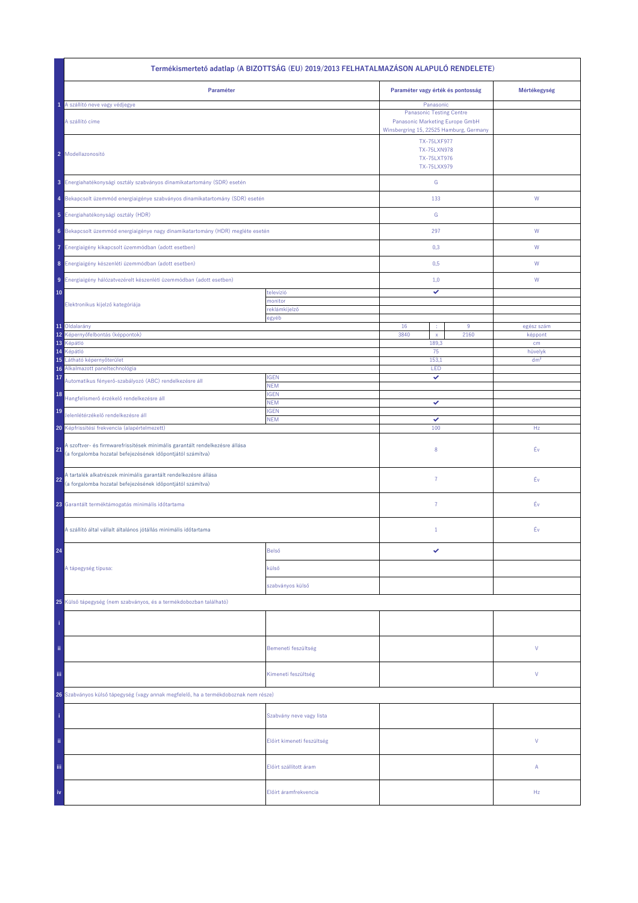| Termékismertető adatlap (A BIZOTTSÁG (EU) 2019/2013 FELHATALMAZÁSON ALAPULÓ RENDELETE)                                                          |                            |                                                                                                            |      |                 |  |
|-------------------------------------------------------------------------------------------------------------------------------------------------|----------------------------|------------------------------------------------------------------------------------------------------------|------|-----------------|--|
| Paraméter                                                                                                                                       |                            | Paraméter vagy érték és pontosság                                                                          |      | Mértékegység    |  |
| A szállító neve vagy védjegye<br>1                                                                                                              |                            | Panasonic                                                                                                  |      |                 |  |
| A szállító címe                                                                                                                                 |                            | <b>Panasonic Testing Centre</b><br>Panasonic Marketing Europe GmbH                                         |      |                 |  |
| 2 Modellazonosító                                                                                                                               |                            | Winsbergring 15, 22525 Hamburg, Germany<br>TX-75LXF977<br><b>TX-75LXN978</b><br>TX-75LXT976<br>TX-75LXX979 |      |                 |  |
| 3 Energiahatékonysági osztály szabványos dinamikatartomány (SDR) esetén                                                                         |                            | G                                                                                                          |      |                 |  |
| 4 Bekapcsolt üzemmód energiaigénye szabványos dinamikatartomány (SDR) esetén                                                                    |                            | 133                                                                                                        |      | ${\sf W}$       |  |
| 5 Energiahatékonysági osztály (HDR)                                                                                                             |                            | ${\mathbb G}$                                                                                              |      |                 |  |
| 6 Bekapcsolt üzemmód energiaigénye nagy dinamikatartomány (HDR) megléte esetén                                                                  |                            | 297                                                                                                        |      | W               |  |
| 7 Energiaigény kikapcsolt üzemmódban (adott esetben)                                                                                            |                            | 0,3                                                                                                        |      | W               |  |
| 8 Energiaigény készenléti üzemmódban (adott esetben)                                                                                            |                            | 0,5                                                                                                        |      | W               |  |
| 9 Energiaigény hálózatvezérelt készenléti üzemmódban (adott esetben)                                                                            |                            | 1,0                                                                                                        |      | W               |  |
| 10<br>Elektronikus kijelző kategóriája                                                                                                          | televízió<br>monitor       | ✓                                                                                                          |      |                 |  |
|                                                                                                                                                 | reklámkijelző<br>egyéb     |                                                                                                            |      |                 |  |
| 11 Oldalarány                                                                                                                                   |                            | 16<br>÷                                                                                                    | 9    | egész szám      |  |
| 12 Képernyőfelbontás (képpontok)                                                                                                                |                            | 3840<br>$\bar{\mathbf{x}}$                                                                                 | 2160 | képpont         |  |
| 13 Képátló<br>14<br>Képátló                                                                                                                     |                            | 189,3<br>75                                                                                                |      | cm<br>hüvelyk   |  |
| Látható képernyőterület<br>15                                                                                                                   |                            | 153,1                                                                                                      |      | dm <sup>2</sup> |  |
| Alkalmazott paneltechnológia<br>16                                                                                                              |                            | LED                                                                                                        |      |                 |  |
| 17<br>Automatikus fényerő-szabályozó (ABC) rendelkezésre áll                                                                                    | <b>IGEN</b><br><b>NEM</b>  | ✓                                                                                                          |      |                 |  |
| 18<br>Hangfelismerő érzékelő rendelkezésre áll                                                                                                  | <b>IGEN</b><br><b>NEM</b>  | ✓                                                                                                          |      |                 |  |
| 19<br>Jelenlétérzékelő rendelkezésre áll                                                                                                        | <b>IGEN</b><br><b>NEM</b>  | ✓                                                                                                          |      |                 |  |
| 20 Képfrissítési frekvencia (alapértelmezett)                                                                                                   |                            | 100                                                                                                        |      | Hz              |  |
| A szoftver- és firmwarefrissítések minimális garantált rendelkezésre állása<br>21<br>(a forgalomba hozatal befejezésének időpontjától számítva) |                            | $\,$ 8 $\,$                                                                                                |      | Év              |  |
| A tartalék alkatrészek minimális garantált rendelkezésre állása<br>22<br>(a forgalomba hozatal befejezésének időpontjától számítva)             |                            | 7                                                                                                          |      | Éν              |  |
| 23 Garantált terméktámogatás minimális időtartama                                                                                               |                            | $\overline{7}$                                                                                             |      | Éν              |  |
| A szállító által vállalt általános jótállás minimális időtartama                                                                                |                            | $\,1\,$                                                                                                    |      | Éν              |  |
| 24                                                                                                                                              | Belső                      | ✓                                                                                                          |      |                 |  |
| A tápegység típusa:                                                                                                                             | külső                      |                                                                                                            |      |                 |  |
|                                                                                                                                                 | szabványos külső           |                                                                                                            |      |                 |  |
| 25 Külső tápegység (nem szabványos, és a termékdobozban található)                                                                              |                            |                                                                                                            |      |                 |  |
|                                                                                                                                                 |                            |                                                                                                            |      |                 |  |
| ii.                                                                                                                                             | Bemeneti feszültség        |                                                                                                            |      | V               |  |
| iii.                                                                                                                                            | Kimeneti feszültség        |                                                                                                            |      | V               |  |
| 26 Szabványos külső tápegység (vagy annak megfelelő, ha a termékdoboznak nem része)                                                             |                            |                                                                                                            |      |                 |  |
|                                                                                                                                                 | Szabvány neve vagy lista   |                                                                                                            |      |                 |  |
| ii.                                                                                                                                             | Előírt kimeneti feszültség |                                                                                                            |      | V               |  |
| Ϊij                                                                                                                                             | Előírt szállított áram     |                                                                                                            |      | А               |  |
| iv                                                                                                                                              | Előírt áramfrekvencia      |                                                                                                            |      | Hz              |  |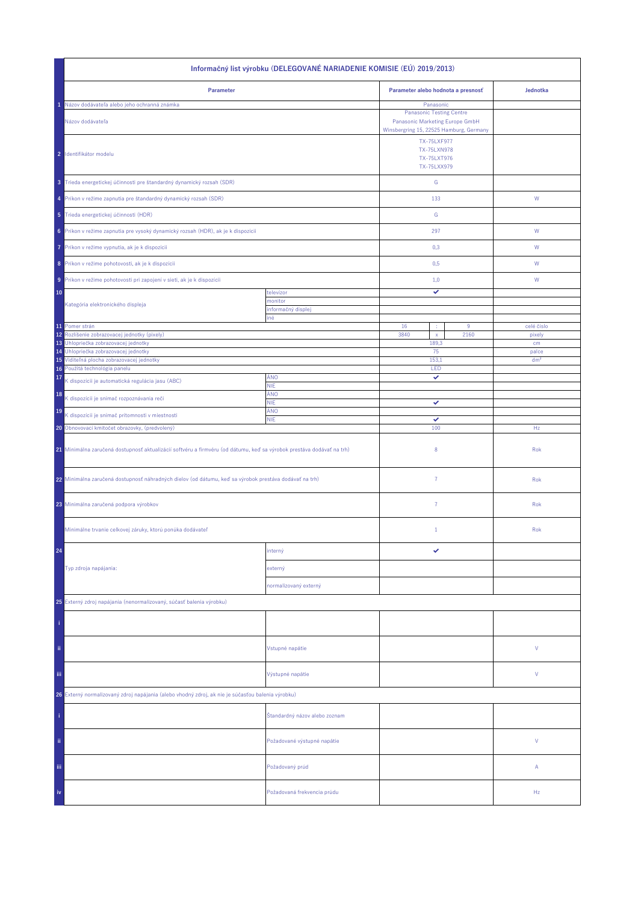| Informačný list výrobku (DELEGOVANÉ NARIADENIE KOMISIE (EÚ) 2019/2013)                                                |                               |                                                                                                                                     |      |                 |  |
|-----------------------------------------------------------------------------------------------------------------------|-------------------------------|-------------------------------------------------------------------------------------------------------------------------------------|------|-----------------|--|
| Parameter                                                                                                             |                               | Parameter alebo hodnota a presnosť                                                                                                  |      | Jednotka        |  |
| Názov dodávateľa alebo jeho ochranná známka                                                                           |                               | Panasonic                                                                                                                           |      |                 |  |
| Názov dodávateľa                                                                                                      |                               | <b>Panasonic Testing Centre</b><br>Panasonic Marketing Europe GmbH<br>Winsbergring 15, 22525 Hamburg, Germany<br><b>TX-75LXF977</b> |      |                 |  |
| 2 Identifikátor modelu                                                                                                |                               | <b>TX-75LXN978</b><br>TX-75LXT976<br>TX-75LXX979                                                                                    |      |                 |  |
| 3 Trieda energetickej účinnosti pre štandardný dynamický rozsah (SDR)                                                 |                               | ${\mathbb G}$                                                                                                                       |      |                 |  |
| 4 Príkon v režime zapnutia pre štandardný dynamický rozsah (SDR)                                                      |                               | 133                                                                                                                                 |      | W               |  |
| 5 Trieda energetickej účinnosti (HDR)                                                                                 |                               | G                                                                                                                                   |      |                 |  |
| 6 Príkon v režime zapnutia pre vysoký dynamický rozsah (HDR), ak je k dispozícii                                      |                               | 297                                                                                                                                 |      | ${\sf W}$       |  |
| Príkon v režime vypnutia, ak je k dispozícii<br>7                                                                     |                               | 0,3                                                                                                                                 |      | W               |  |
| 8 Príkon v režime pohotovosti, ak je k dispozícii                                                                     |                               | 0,5                                                                                                                                 |      | W               |  |
| 9 Príkon v režime pohotovosti pri zapojení v sieti, ak je k dispozícii<br>10                                          | televízor                     | 1,0<br>✓                                                                                                                            |      | W               |  |
| Kategória elektronického displeja                                                                                     | monitor                       |                                                                                                                                     |      |                 |  |
|                                                                                                                       | informačný displej<br>iné     |                                                                                                                                     |      |                 |  |
| 11 Pomer strán                                                                                                        |                               | 16<br>×                                                                                                                             | 9    | celé číslo      |  |
| 12<br>Rozlíšenie zobrazovacej jednotky (pixely)<br>Uhlopriečka zobrazovacej jednotky<br>13                            |                               | 3840<br>$\mathsf X$<br>189,3                                                                                                        | 2160 | pixely<br>cm    |  |
| Uhlopriečka zobrazovacej jednotky<br>14                                                                               |                               | 75                                                                                                                                  |      | palce           |  |
| 15 Viditeľná plocha zobrazovacej jednotky                                                                             |                               | 153,1                                                                                                                               |      | dm <sup>2</sup> |  |
| 16 Použitá technológia panelu<br>17                                                                                   | ÁNO                           | LED<br>✓                                                                                                                            |      |                 |  |
| K dispozícii je automatická regulácia jasu (ABC)                                                                      | <b>NIE</b><br>ÁNO             |                                                                                                                                     |      |                 |  |
| 18<br>K dispozícii je snímač rozpoznávania reči                                                                       | <b>NIE</b>                    | ✓                                                                                                                                   |      |                 |  |
| 19<br>K dispozícii je snímač prítomnosti v miestnosti                                                                 | ÁNO<br><b>NIE</b>             | ✓                                                                                                                                   |      |                 |  |
| 20 Obnovovací kmitočet obrazovky, (predvolený)                                                                        |                               | 100                                                                                                                                 |      | Hz              |  |
| 21 Minimálna zaručená dostupnosť aktualizácií softvéru a firmvéru (od dátumu, keď sa výrobok prestáva dodávať na trh) |                               | 8                                                                                                                                   |      | Rok             |  |
| 22 Minimálna zaručená dostupnosť náhradných dielov (od dátumu, keď sa výrobok prestáva dodávať na trh)                |                               | $\overline{7}$                                                                                                                      |      | Rok             |  |
| 23 Minimálna zaručená podpora výrobkov                                                                                |                               | 7                                                                                                                                   |      | Rok             |  |
| Minimálne trvanie celkovej záruky, ktorú ponúka dodávateľ                                                             |                               | $\mathbf{1}$                                                                                                                        |      | Rok             |  |
| 24                                                                                                                    | interný                       |                                                                                                                                     |      |                 |  |
| Typ zdroja napájania:                                                                                                 | externý                       |                                                                                                                                     |      |                 |  |
|                                                                                                                       | normalizovaný externý         |                                                                                                                                     |      |                 |  |
| 25 Externý zdroj napájania (nenormalizovaný, súčasť balenia výrobku)                                                  |                               |                                                                                                                                     |      |                 |  |
|                                                                                                                       |                               |                                                                                                                                     |      |                 |  |
| ii.                                                                                                                   | Vstupné napätie               |                                                                                                                                     |      | V               |  |
| Ϊij                                                                                                                   | Výstupné napätie              |                                                                                                                                     |      | V               |  |
| 26 Externý normalizovaný zdroj napájania (alebo vhodný zdroj, ak nie je súčasťou balenia výrobku)                     |                               |                                                                                                                                     |      |                 |  |
|                                                                                                                       | Štandardný názov alebo zoznam |                                                                                                                                     |      |                 |  |
| ij.                                                                                                                   | Požadované výstupné napätie   |                                                                                                                                     |      | V               |  |
| Ϊij                                                                                                                   | Požadovaný prúd               |                                                                                                                                     |      | Α               |  |
| iv                                                                                                                    | Požadovaná frekvencia prúdu   |                                                                                                                                     |      | Hz              |  |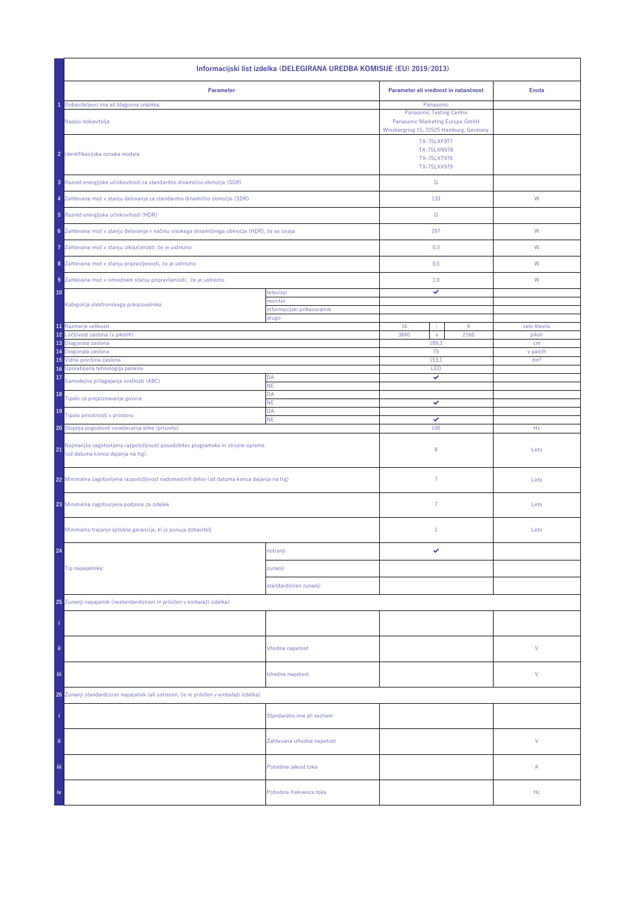| Informacijski list izdelka (DELEGIRANA UREDBA KOMISIJE (EU) 2019/2013)                                                    |                                        |                                                                                                               |                             |  |  |
|---------------------------------------------------------------------------------------------------------------------------|----------------------------------------|---------------------------------------------------------------------------------------------------------------|-----------------------------|--|--|
| Parameter                                                                                                                 |                                        | Parameter ali vrednost in natančnost                                                                          | <b>Enota</b>                |  |  |
| Dobaviteljevo ime ali blagovna znamka;                                                                                    |                                        | Panasonic                                                                                                     |                             |  |  |
| Naslov dobavitelja                                                                                                        |                                        | <b>Panasonic Testing Centre</b><br>Panasonic Marketing Europe GmbH<br>Winsbergring 15, 22525 Hamburg, Germany |                             |  |  |
| 2 Identifikacijska oznaka modela                                                                                          |                                        | <b>TX-75LXF977</b><br><b>TX-75LXN978</b><br>TX-75LXT976<br>TX-75LXX979                                        |                             |  |  |
| 3 Razred energijske učinkovitosti za standardno dinamično območje (SDR)                                                   |                                        | ${\mathbb G}$                                                                                                 |                             |  |  |
| 4 Zahtevana moč v stanju delovanja za standardno dinamično območje (SDR)                                                  |                                        | 133                                                                                                           | W                           |  |  |
| 5 Razred energijske učinkovitosti (HDR)                                                                                   |                                        | ${\mathbb G}$                                                                                                 |                             |  |  |
| 6 Zahtevana moč v stanju delovanja v načinu visokega dinamičnega območja (HDR), če se izvaja                              |                                        | 297                                                                                                           | ${\sf W}$                   |  |  |
| Zahtevana moč v stanju izključenosti, če je ustrezno<br>7                                                                 |                                        | 0,3                                                                                                           | W                           |  |  |
| 8 Zahtevana moč v stanju pripravljenosti, če je ustrezno                                                                  |                                        | 0,5                                                                                                           | W                           |  |  |
| 9 Zahtevana moč v omrežnem stanju pripravljenosti, če je ustrezno                                                         |                                        | 1,0                                                                                                           | W                           |  |  |
| 10                                                                                                                        | televizor                              | ✓                                                                                                             |                             |  |  |
| Kategorija elektronskega prikazovalnika                                                                                   | monitor<br>informacijski prikazovalnik |                                                                                                               |                             |  |  |
| 11 Razmerje velikosti                                                                                                     | drugo                                  | 16<br>$9\,$                                                                                                   | celo število                |  |  |
| 12<br>Ločljivost zaslona (v pikslih)                                                                                      |                                        | 3840<br>2160<br>$\mathsf{x}$                                                                                  | piksli                      |  |  |
| 13 Diagonala zaslona                                                                                                      |                                        | 189,3                                                                                                         | cm                          |  |  |
| 14 Diagonala zaslona<br>15 Vidna površina zaslona                                                                         |                                        | 75<br>153,1                                                                                                   | v palcih<br>dm <sup>2</sup> |  |  |
| 16 Uporabljena tehnologija panelov                                                                                        |                                        | LED                                                                                                           |                             |  |  |
| 17<br>Samodejno prilagajanje svetlosti (ABC)                                                                              | DA<br>NE                               | ✓                                                                                                             |                             |  |  |
| 18<br>Tipalo za prepoznavanje govora                                                                                      | DA<br><b>NE</b>                        | ✓                                                                                                             |                             |  |  |
| 19<br>Tipalo prisotnosti v prostoru                                                                                       | DA<br><b>NE</b>                        | ✓                                                                                                             |                             |  |  |
| 20 Stopnja pogostosti osveževanja slike (privzeto)                                                                        |                                        | 100                                                                                                           | Hz                          |  |  |
| Najmanjša zagotovljena razpoložljivost posodobitev programske in strojne opreme<br>21<br>(od datuma konca dajanja na trg) |                                        | 8                                                                                                             | Leto                        |  |  |
| 22 Minimalna zagotovljena razpoložljivost nadomestnih delov (od datuma konca dajanja na trg)                              |                                        | $\overline{7}$                                                                                                | Leto                        |  |  |
| 23 Minimalna zagotovljena podpora za izdelek                                                                              |                                        | $\overline{7}$                                                                                                | Leto                        |  |  |
| Minimalno trajanje splošne garancije, ki jo ponuja dobavitelj                                                             |                                        | $\mathbf{1}$                                                                                                  | Leto                        |  |  |
| 24                                                                                                                        | notranji                               |                                                                                                               |                             |  |  |
| Tip napajalnika:                                                                                                          | zunanji                                |                                                                                                               |                             |  |  |
|                                                                                                                           | standardiziran zunanji                 |                                                                                                               |                             |  |  |
| 25 Zunanji napajalnik (nestandardizirani in priložen v embalaži izdelka)                                                  |                                        |                                                                                                               |                             |  |  |
|                                                                                                                           |                                        |                                                                                                               |                             |  |  |
| ii.                                                                                                                       | Vhodna napetost                        |                                                                                                               | ٧                           |  |  |
| Ϊij                                                                                                                       | Izhodna napetost                       |                                                                                                               | ٧                           |  |  |
| 26 Zunanji standardiziran napajalnik (ali ustrezen, če ni priložen v embalaži izdelka)                                    |                                        |                                                                                                               |                             |  |  |
|                                                                                                                           | Standardno ime ali seznam              |                                                                                                               |                             |  |  |
| ii.                                                                                                                       | Zahtevana izhodna napetost             |                                                                                                               | V                           |  |  |
| iii.                                                                                                                      | Potrebna jakost toka                   |                                                                                                               | Α                           |  |  |
| iv                                                                                                                        | Potrebna frekvenca toka                |                                                                                                               | Hz                          |  |  |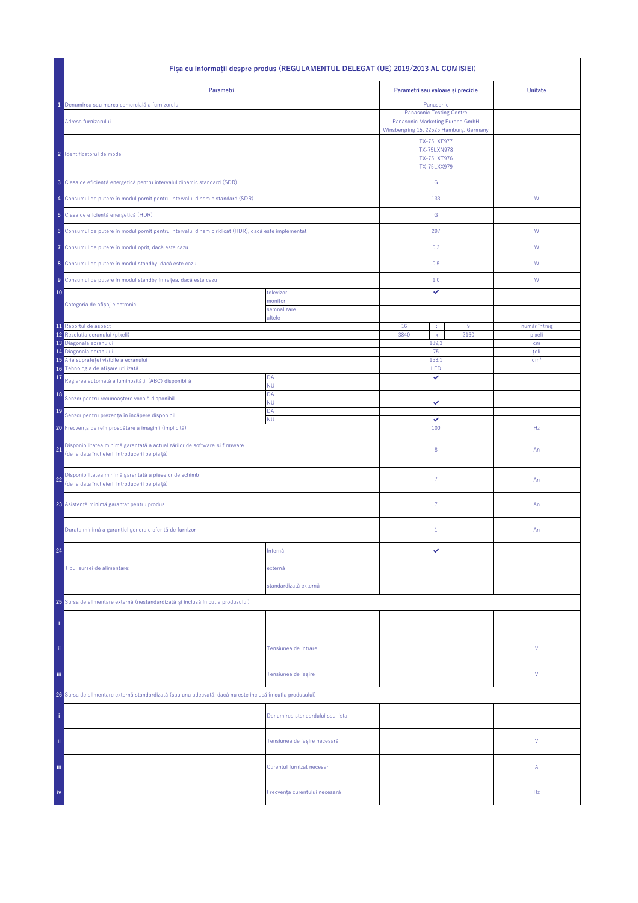| Fișa cu informații despre produs (REGULAMENTUL DELEGAT (UE) 2019/2013 AL COMISIEI)                                                |                                  |                                                                        |                                                                                                                            |                         |  |  |
|-----------------------------------------------------------------------------------------------------------------------------------|----------------------------------|------------------------------------------------------------------------|----------------------------------------------------------------------------------------------------------------------------|-------------------------|--|--|
| Parametri                                                                                                                         |                                  | Parametri sau valoare și precizie                                      |                                                                                                                            | <b>Unitate</b>          |  |  |
| Denumirea sau marca comercială a furnizorului<br>Adresa furnizorului                                                              |                                  |                                                                        | Panasonic<br><b>Panasonic Testing Centre</b><br>Panasonic Marketing Europe GmbH<br>Winsbergring 15, 22525 Hamburg, Germany |                         |  |  |
| 2 Identificatorul de model                                                                                                        |                                  | <b>TX-75LXF977</b><br><b>TX-75LXN978</b><br>TX-75LXT976<br>TX-75LXX979 |                                                                                                                            |                         |  |  |
| 3 Clasa de eficiență energetică pentru intervalul dinamic standard (SDR)                                                          |                                  | ${\mathsf G}$                                                          |                                                                                                                            |                         |  |  |
| 4 Consumul de putere în modul pornit pentru intervalul dinamic standard (SDR)                                                     |                                  | 133                                                                    |                                                                                                                            | W                       |  |  |
| 5 Clasa de eficiență energetică (HDR)                                                                                             |                                  | G                                                                      |                                                                                                                            |                         |  |  |
| 6 Consumul de putere în modul pornit pentru intervalul dinamic ridicat (HDR), dacă este implementat                               |                                  | 297                                                                    |                                                                                                                            | W                       |  |  |
| Consumul de putere în modul oprit, dacă este cazu<br>7                                                                            |                                  | 0,3                                                                    |                                                                                                                            | W                       |  |  |
| 8 Consumul de putere în modul standby, dacă este cazu                                                                             |                                  | 0,5                                                                    |                                                                                                                            | W                       |  |  |
| 9 Consumul de putere în modul standby în rețea, dacă este cazu                                                                    |                                  | 1,0                                                                    |                                                                                                                            | W                       |  |  |
| 10                                                                                                                                | televizor                        | ✓                                                                      |                                                                                                                            |                         |  |  |
| Categoria de afișaj electronic                                                                                                    | monitor<br>semnalizare           |                                                                        |                                                                                                                            |                         |  |  |
| 11 Raportul de aspect                                                                                                             | altele                           | 16<br>÷                                                                | $9\,$                                                                                                                      | număr întreg            |  |  |
| 12<br>Rezolutia ecranului (pixeli)                                                                                                |                                  | 3840<br>$\mathsf{x}$                                                   | 2160                                                                                                                       | pixeli                  |  |  |
| 13<br>Diagonala ecranului                                                                                                         |                                  | 189,3                                                                  |                                                                                                                            | cm                      |  |  |
| Diagonala ecranului<br>14<br>Aria suprafeței vizibile a ecranului<br>15                                                           |                                  | 75<br>153,1                                                            |                                                                                                                            | toli<br>dm <sup>2</sup> |  |  |
| Tehnologia de afișare utilizată<br>16                                                                                             |                                  | LED                                                                    |                                                                                                                            |                         |  |  |
| 17<br>Reglarea automată a luminozității (ABC) disponibilă                                                                         | DA<br><b>NU</b>                  | ✓                                                                      |                                                                                                                            |                         |  |  |
| 18<br>Senzor pentru recunoaștere vocală disponibil                                                                                | DA<br>ΝU                         | ✓                                                                      |                                                                                                                            |                         |  |  |
| 19<br>Senzor pentru prezența în încăpere disponibil                                                                               | DA                               |                                                                        |                                                                                                                            |                         |  |  |
| <b>NU</b><br>20 Frecvența de reîmprospătare a imaginii (implicită)                                                                |                                  | ✓<br>100                                                               |                                                                                                                            | Hz                      |  |  |
| Disponibilitatea minimă garantată a actualizărilor de software și firmware<br>21<br>(de la data încheierii introducerii pe piață) |                                  | 8                                                                      |                                                                                                                            | An                      |  |  |
| Disponibilitatea minimă garantată a pieselor de schimb<br>22<br>(de la data încheierii introducerii pe pia tă)                    |                                  | $\overline{7}$                                                         |                                                                                                                            | An                      |  |  |
| 23 Asistență minimă garantat pentru produs                                                                                        |                                  | $\overline{7}$                                                         |                                                                                                                            | An                      |  |  |
| Durata minimă a garanției generale oferită de furnizor                                                                            |                                  | $1\,$                                                                  |                                                                                                                            | An                      |  |  |
| 24                                                                                                                                | Internă                          | ✓                                                                      |                                                                                                                            |                         |  |  |
| Tipul sursei de alimentare:                                                                                                       | externă                          |                                                                        |                                                                                                                            |                         |  |  |
|                                                                                                                                   | standardizată externă            |                                                                        |                                                                                                                            |                         |  |  |
| 25 Sursa de alimentare externă (nestandardizată și inclusă în cutia produsului)                                                   |                                  |                                                                        |                                                                                                                            |                         |  |  |
|                                                                                                                                   |                                  |                                                                        |                                                                                                                            |                         |  |  |
| ii.                                                                                                                               | Tensiunea de intrare             |                                                                        |                                                                                                                            | ٧                       |  |  |
| Ϊij                                                                                                                               | Tensiunea de ieșire              |                                                                        |                                                                                                                            | ٧                       |  |  |
| 26 Sursa de alimentare externă standardizată (sau una adecvată, dacă nu este inclusă în cutia produsului)                         |                                  |                                                                        |                                                                                                                            |                         |  |  |
|                                                                                                                                   | Denumirea standardului sau lista |                                                                        |                                                                                                                            |                         |  |  |
| ii.                                                                                                                               | Tensiunea de ieșire necesară     |                                                                        |                                                                                                                            | V                       |  |  |
| Ϊij                                                                                                                               | Curentul furnizat necesar        |                                                                        |                                                                                                                            | Α                       |  |  |
| iv                                                                                                                                | Frecvența curentului necesară    |                                                                        |                                                                                                                            | Hz                      |  |  |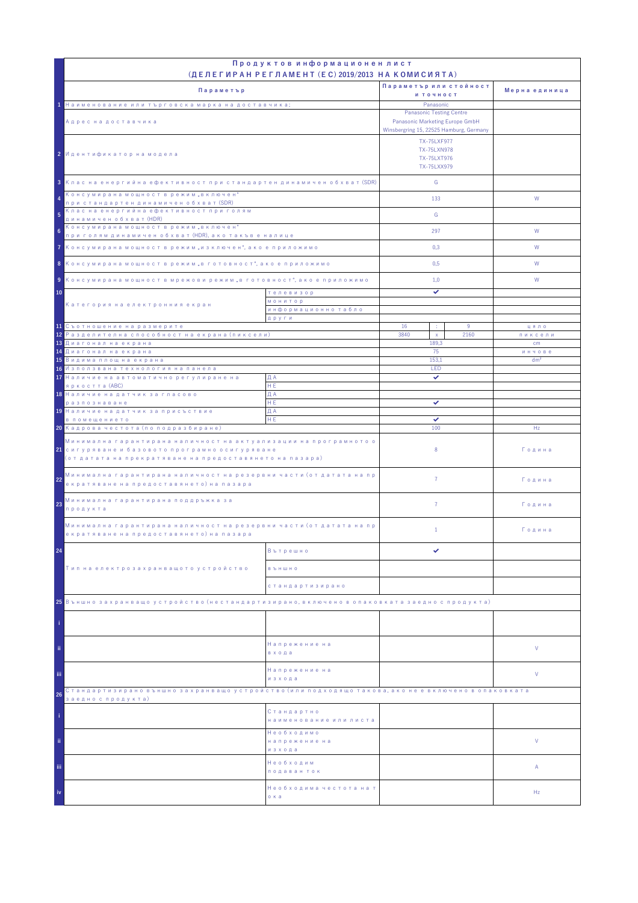|                                                                                                                                                                                            | Продуктов информационен лист                                                                  |                                                                                                                                     |           |                 |
|--------------------------------------------------------------------------------------------------------------------------------------------------------------------------------------------|-----------------------------------------------------------------------------------------------|-------------------------------------------------------------------------------------------------------------------------------------|-----------|-----------------|
|                                                                                                                                                                                            | (ДЕЛЕГИРАН РЕГЛАМЕНТ (EC) 2019/2013 НА КОМИСИЯТА)                                             | Параметър или стойност                                                                                                              |           |                 |
| Параметър                                                                                                                                                                                  |                                                                                               | и точност                                                                                                                           |           | Мерна единица   |
| 1 Наименование или търговска марка на доставчика;                                                                                                                                          |                                                                                               | Panasonic                                                                                                                           |           |                 |
| Адрес на доставчика                                                                                                                                                                        |                                                                                               | <b>Panasonic Testing Centre</b><br>Panasonic Marketing Europe GmbH<br>Winsbergring 15, 22525 Hamburg, Germany<br><b>TX-75LXF977</b> |           |                 |
| 2 Идентификатор на модела                                                                                                                                                                  |                                                                                               |                                                                                                                                     |           |                 |
| 3 Клас на енергийна ефективност при стандартен динамичен обхват (SDR)                                                                                                                      |                                                                                               | G                                                                                                                                   |           |                 |
| Консумирана мощност в режим "включен"<br>4<br>при стандартен динамичен обхват (SDR)                                                                                                        |                                                                                               | 133                                                                                                                                 |           | W               |
| Клас на енергийна ефективност при голям<br>динамичен обхват (HDR)                                                                                                                          |                                                                                               | G                                                                                                                                   |           |                 |
| 6                                                                                                                                                                                          | Консумирана мощност в режим "включен"<br>при голям динамичен обхват (HDR), ако такъв е налице |                                                                                                                                     |           | W               |
| 7 Консумирана мощност в режим "изключен", ако е приложимо                                                                                                                                  |                                                                                               | 0,3                                                                                                                                 |           | W               |
| 8 Консумирана мощност в режим "в готовност", ако е приложимо                                                                                                                               |                                                                                               | 0,5                                                                                                                                 |           | W               |
| 9 Консумирана мощност в мрежови режим "в готовност", ако е приложимо                                                                                                                       |                                                                                               | 1,0                                                                                                                                 |           | W               |
| 10                                                                                                                                                                                         | телевизор                                                                                     | ✓                                                                                                                                   |           |                 |
| Категория на електронния екран                                                                                                                                                             | <b>МОНИТОР</b><br>информационно табло                                                         |                                                                                                                                     |           |                 |
|                                                                                                                                                                                            | други                                                                                         |                                                                                                                                     |           |                 |
| 11 Съотношение на размерите<br><mark>12</mark> Разделителна способност на екрана (пиксели)                                                                                                 |                                                                                               | 16<br>÷<br>3840                                                                                                                     | 9<br>2160 | цяло            |
| 13 Диагонал на екрана                                                                                                                                                                      |                                                                                               | $\mathsf X$<br>189.3                                                                                                                |           | пиксели<br>cm   |
| <mark>14 Диагонал на екрана</mark>                                                                                                                                                         |                                                                                               | 75                                                                                                                                  |           | инчове          |
| <mark>15</mark> Видима площ на екрана                                                                                                                                                      |                                                                                               | 153,1<br>LED                                                                                                                        |           | dm <sup>2</sup> |
| 16 Използвана технология на панела<br>17 Наличие на автоматично регулиране на                                                                                                              | ДА                                                                                            | ✓                                                                                                                                   |           |                 |
| яркостта (ABC)                                                                                                                                                                             | HE.                                                                                           |                                                                                                                                     |           |                 |
| 18 Наличие на датчик за гласово                                                                                                                                                            | ДА                                                                                            |                                                                                                                                     |           |                 |
| разпознаване<br>19 Наличие на датчик за присъствие                                                                                                                                         | HE.<br>ДА                                                                                     | ✓                                                                                                                                   |           |                 |
| в помещението                                                                                                                                                                              | HE                                                                                            | ✓                                                                                                                                   |           |                 |
| 20 Кадрова честота (по подразбиране)                                                                                                                                                       |                                                                                               | 100                                                                                                                                 |           | Hz              |
| Минимална гарантирана наличност на актуализации на програмното о<br><mark>21</mark> сигуряване и базовото програмно осигуряване<br>(от датата на прекратяване на предоставянето на пазара) |                                                                                               | 8                                                                                                                                   |           | Година          |
| Минимална гарантирана наличност на резервни части (от датата на пр<br>22<br>екратяване на предоставянето) на пазара                                                                        |                                                                                               | $\overline{7}$                                                                                                                      |           | Година          |
| Минимална гарантирана поддръжка за<br>23<br>продукта                                                                                                                                       |                                                                                               | $\overline{7}$                                                                                                                      |           | Година          |
| Минимална гарантирана наличност на резервни части (от датата на пр<br>екратяване на предоставянето) на пазара                                                                              |                                                                                               | $\mathbf{1}$                                                                                                                        |           | Година          |
| 24                                                                                                                                                                                         | Вътрешно                                                                                      | ✓                                                                                                                                   |           |                 |
| Тип на електрозахранващото устройство                                                                                                                                                      | <b>B Ъ Н Ш Н О</b>                                                                            |                                                                                                                                     |           |                 |
|                                                                                                                                                                                            | стандартизирано                                                                               |                                                                                                                                     |           |                 |
| 25 Външно захранващо устройство (нестандартизирано, включено в опаковката заедно с продукта)                                                                                               |                                                                                               |                                                                                                                                     |           |                 |
|                                                                                                                                                                                            |                                                                                               |                                                                                                                                     |           |                 |
| ii.                                                                                                                                                                                        | Напрежение на<br>входа                                                                        |                                                                                                                                     |           | V               |
| iii.                                                                                                                                                                                       | Напрежение на<br>изхода                                                                       |                                                                                                                                     |           | V               |
| Стандартизирано външно захранващо устройство (или подходящо такова, ако не е включено в опаковката<br>26                                                                                   |                                                                                               |                                                                                                                                     |           |                 |
| заедно с продукта)                                                                                                                                                                         | Стандартно<br>наименование или листа                                                          |                                                                                                                                     |           |                 |
| ii.                                                                                                                                                                                        | Необходимо<br>напрежение на<br>изхода                                                         |                                                                                                                                     |           | V               |
| iii.                                                                                                                                                                                       | Необходим<br>подаван ток                                                                      |                                                                                                                                     |           | Α               |
| iv                                                                                                                                                                                         | Необходима честота на т<br>о ка                                                               |                                                                                                                                     |           | Hz              |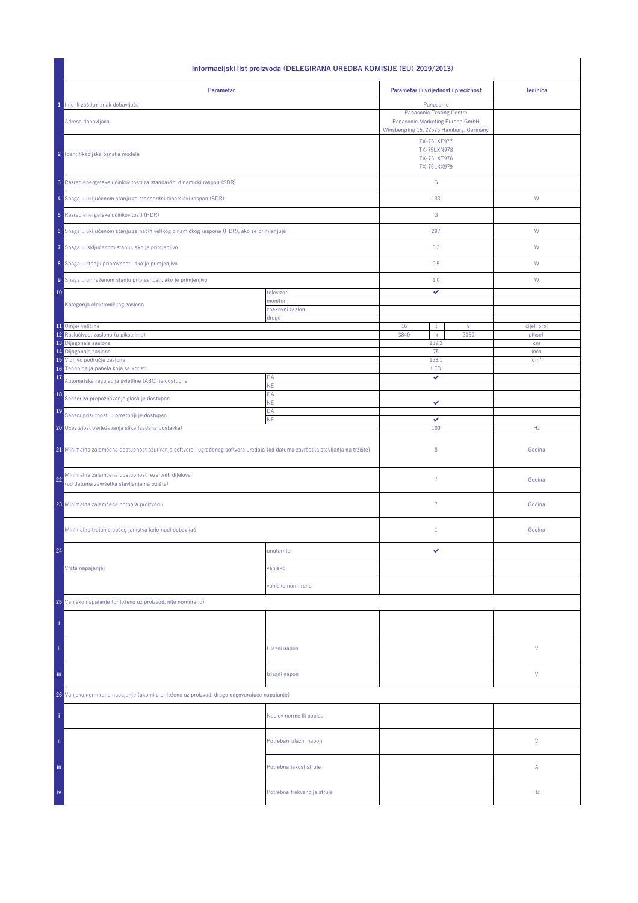| Informacijski list proizvoda (DELEGIRANA UREDBA KOMISIJE (EU) 2019/2013)                                                                                                             |                             |                                       |                                                                                                                            |                 |  |
|--------------------------------------------------------------------------------------------------------------------------------------------------------------------------------------|-----------------------------|---------------------------------------|----------------------------------------------------------------------------------------------------------------------------|-----------------|--|
| Parametar                                                                                                                                                                            |                             | Parametar ili vrijednost i preciznost |                                                                                                                            | Jedinica        |  |
| Ime ili zaštitni znak dobavljača<br>Adresa dobavljača                                                                                                                                |                             |                                       | Panasonic<br><b>Panasonic Testing Centre</b><br>Panasonic Marketing Europe GmbH<br>Winsbergring 15, 22525 Hamburg, Germany |                 |  |
| 2 Identifikacijska oznaka modela                                                                                                                                                     |                             |                                       | <b>TX-75LXF977</b><br><b>TX-75LXN978</b><br>TX-75LXT976<br>TX-75LXX979                                                     |                 |  |
| 3 Razred energetske učinkovitosti za standardni dinamički raspon (SDR)                                                                                                               |                             | ${\mathsf G}$                         |                                                                                                                            |                 |  |
| 4 Snaga u uključenom stanju za standardni dinamički raspon (SDR)                                                                                                                     |                             | 133                                   |                                                                                                                            | W               |  |
| 5 Razred energetske učinkovitosti (HDR)                                                                                                                                              |                             | G                                     |                                                                                                                            |                 |  |
| 6 Snaga u uključenom stanju za način velikog dinamičkog raspona (HDR), ako se primjenjuje                                                                                            |                             | 297                                   |                                                                                                                            | W               |  |
| Snaga u isključenom stanju, ako je primjenjivo<br>7                                                                                                                                  |                             | 0,3                                   |                                                                                                                            | W               |  |
| 8 Snaga u stanju pripravnosti, ako je primjenjivo                                                                                                                                    |                             | 0,5                                   |                                                                                                                            | W               |  |
| 9 Snaga u umreženom stanju pripravnosti, ako je primjenjivo                                                                                                                          |                             | 1,0                                   |                                                                                                                            | W               |  |
| 10                                                                                                                                                                                   | televizor<br>monitor        | ✓                                     |                                                                                                                            |                 |  |
| Kategorija elektroničkog zaslona                                                                                                                                                     | znakovni zaslon<br>drugo    |                                       |                                                                                                                            |                 |  |
| 11 Omjer veličine                                                                                                                                                                    |                             | 16<br>÷                               | $9\,$                                                                                                                      | cijeli broj     |  |
| 12 <sup>°</sup><br>Razlučivost zaslona (u pikselima)<br>13<br>Dijagonala zaslona                                                                                                     |                             | 3840<br>$\mathsf{x}$<br>189,3         | 2160                                                                                                                       | pikseli<br>cm   |  |
| 14 Dijagonala zaslona                                                                                                                                                                |                             | 75                                    |                                                                                                                            | inča            |  |
| 15 Vidljivo područje zaslona                                                                                                                                                         |                             | 153,1                                 |                                                                                                                            | dm <sup>2</sup> |  |
| 16 Tehnologija panela koja se koristi<br>17<br>Automatska regulacija svjetline (ABC) je dostupna                                                                                     | DA                          | LED<br>✓                              |                                                                                                                            |                 |  |
| 18                                                                                                                                                                                   | <b>NE</b><br>DA             |                                       |                                                                                                                            |                 |  |
| Senzor za prepoznavanje glasa je dostupan<br>19                                                                                                                                      | <b>NE</b><br>DA             | ✓                                     |                                                                                                                            |                 |  |
| Senzor prisutnosti u prostoriji je dostupan                                                                                                                                          | <b>NE</b>                   | ✓<br>100                              |                                                                                                                            | Hz              |  |
| 20 Učestalost osvježavanja slike (zadana postavka)<br>21 Minimalna zajamčena dostupnost ažuriranja softvera i ugrađenog softvera uređaja (od datuma završetka stavljanja na tržište) |                             | 8                                     |                                                                                                                            | Godina          |  |
| Minimalna zajamčena dostupnost rezervnih dijelova<br>22<br>(od datuma završetka stavljanja na tržište)                                                                               |                             | $\overline{7}$                        |                                                                                                                            | Godina          |  |
| 23 Minimalna zajamčena potpora proizvodu                                                                                                                                             |                             | $\overline{7}$                        |                                                                                                                            | Godina          |  |
| Minimalno trajanje općeg jamstva koje nudi dobavljač                                                                                                                                 |                             | $1\,$                                 |                                                                                                                            | Godina          |  |
| 24                                                                                                                                                                                   | unutarnje                   | ✓                                     |                                                                                                                            |                 |  |
| Vrsta napajanja:                                                                                                                                                                     | vanjsko                     |                                       |                                                                                                                            |                 |  |
|                                                                                                                                                                                      | vanjsko normirano           |                                       |                                                                                                                            |                 |  |
| 25 Vanjsko napajanje (priloženo uz proizvod, nije normirano)                                                                                                                         |                             |                                       |                                                                                                                            |                 |  |
|                                                                                                                                                                                      |                             |                                       |                                                                                                                            |                 |  |
| ii.                                                                                                                                                                                  | Ulazni napon                |                                       |                                                                                                                            | ٧               |  |
| Ϊij                                                                                                                                                                                  | Izlazni napon               |                                       |                                                                                                                            | V               |  |
| 26 Vanjsko normirano napajanje (ako nije priloženo uz proizvod, drugo odgovarajuće napajanje)                                                                                        |                             |                                       |                                                                                                                            |                 |  |
|                                                                                                                                                                                      | Naslov norme ili popisa     |                                       |                                                                                                                            |                 |  |
| ii.                                                                                                                                                                                  | Potreban izlazni napon      |                                       |                                                                                                                            | V               |  |
| iii,                                                                                                                                                                                 | Potrebna jakost struje      |                                       |                                                                                                                            | Α               |  |
| iv                                                                                                                                                                                   | Potrebna frekvencija struje |                                       |                                                                                                                            | Hz              |  |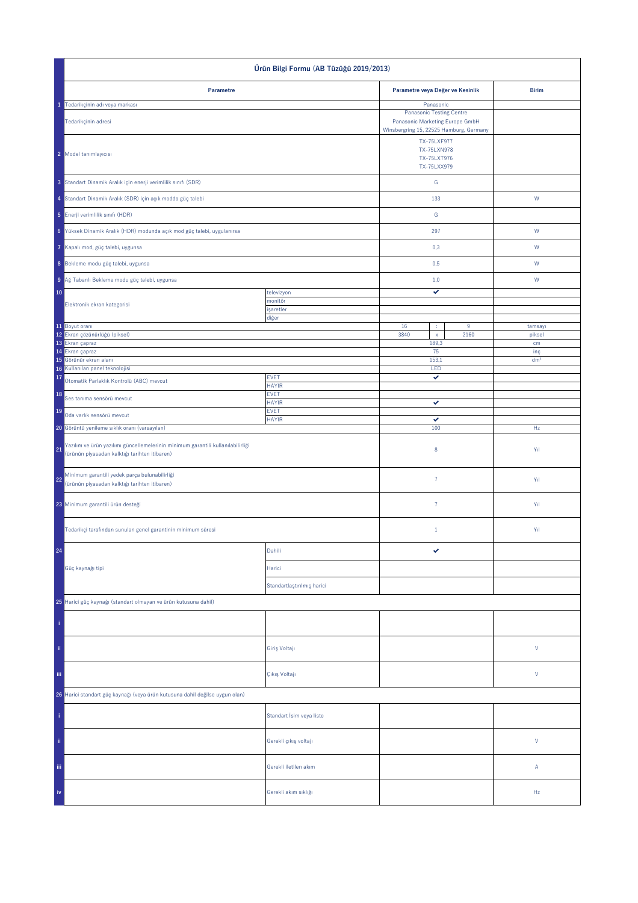| Ürün Bilgi Formu (AB Tüzüğü 2019/2013)                                                                                                 |                             |                                                                                                                                     |                  |                        |  |
|----------------------------------------------------------------------------------------------------------------------------------------|-----------------------------|-------------------------------------------------------------------------------------------------------------------------------------|------------------|------------------------|--|
| Parametre                                                                                                                              |                             | Parametre veya Değer ve Kesinlik                                                                                                    |                  | <b>Birim</b>           |  |
| 1 Tedarikçinin adı veya markası                                                                                                        |                             | Panasonic                                                                                                                           |                  |                        |  |
| Tedarikçinin adresi                                                                                                                    |                             | <b>Panasonic Testing Centre</b><br>Panasonic Marketing Europe GmbH<br>Winsbergring 15, 22525 Hamburg, Germany<br><b>TX-75LXF977</b> |                  |                        |  |
| 2 Model tanımlayıcısı                                                                                                                  |                             | TX-75LXN978<br>TX-75LXT976<br>TX-75LXX979                                                                                           |                  |                        |  |
| 3 Standart Dinamik Aralık için enerji verimlilik sınıfı (SDR)                                                                          |                             | G                                                                                                                                   |                  |                        |  |
| 4 Standart Dinamik Aralık (SDR) için açık modda güç talebi                                                                             |                             | 133                                                                                                                                 |                  | ${\sf W}$              |  |
| 5 Enerji verimlilik sınıfı (HDR)                                                                                                       |                             | ${\mathbb G}$                                                                                                                       |                  |                        |  |
| 6 Yüksek Dinamik Aralık (HDR) modunda açık mod güç talebi, uygulanırsa                                                                 |                             | 297                                                                                                                                 |                  | W                      |  |
| Kapalı mod, güç talebi, uygunsa                                                                                                        |                             | 0,3                                                                                                                                 |                  | W                      |  |
| 8 Bekleme modu güç talebi, uygunsa                                                                                                     |                             | 0,5                                                                                                                                 |                  | W                      |  |
| 9 Ağ Tabanlı Bekleme modu güç talebi, uygunsa                                                                                          |                             | 1,0                                                                                                                                 |                  | W                      |  |
| 10                                                                                                                                     | televizyon                  | ✓                                                                                                                                   |                  |                        |  |
| Elektronik ekran kategorisi                                                                                                            | monitör<br>işaretler        |                                                                                                                                     |                  |                        |  |
| 11 Boyut oranı                                                                                                                         | diğer                       | 16<br>÷                                                                                                                             | $\boldsymbol{9}$ | tamsayı                |  |
| 12 Ekran çözünürlüğü (piksel)                                                                                                          |                             | 3840<br>$\mathsf{x}$                                                                                                                | 2160             | piksel                 |  |
| 13 Ekran çapraz                                                                                                                        |                             | 189,3                                                                                                                               |                  | cm                     |  |
| 14 Ekran çapraz<br>15 Görünür ekran alanı                                                                                              |                             | 75<br>153,1                                                                                                                         |                  | inç<br>dm <sup>2</sup> |  |
| Kullanılan panel teknolojisi<br>16                                                                                                     | LED                         |                                                                                                                                     |                  |                        |  |
| 17<br>Otomatik Parlaklık Kontrolü (ABC) mevcut                                                                                         | <b>EVET</b><br><b>HAYIR</b> | ✓                                                                                                                                   |                  |                        |  |
| 18<br>Ses tanıma sensörü mevcut                                                                                                        | <b>EVET</b><br><b>HAYIR</b> | ✓                                                                                                                                   |                  |                        |  |
| 19<br>Oda varlık sensörü mevcut                                                                                                        | <b>EVET</b><br><b>HAYIR</b> | ✓                                                                                                                                   |                  |                        |  |
| 20 Görüntü yenileme sıklık oranı (varsayılan)                                                                                          |                             | 100                                                                                                                                 |                  | Hz                     |  |
| Yazılım ve ürün yazılımı güncellemelerinin minimum garantili kullanılabilirliği<br>21<br>(ürünün piyasadan kalktığı tarihten itibaren) |                             | $\bf 8$                                                                                                                             |                  | Yıl                    |  |
| Minimum garantili yedek parça bulunabilirliği<br>22<br>(ürünün piyasadan kalktığı tarihten itibaren)                                   |                             | $\bf 7$                                                                                                                             |                  | Yıl                    |  |
| 23 Minimum garantili ürün desteği                                                                                                      |                             | $\bf 7$                                                                                                                             |                  | Yıl                    |  |
| Tedarikçi tarafından sunulan genel garantinin minimum süresi                                                                           |                             | $1\,$                                                                                                                               |                  | Yıl                    |  |
| 24                                                                                                                                     | Dahili                      | ✓                                                                                                                                   |                  |                        |  |
| Güç kaynağı tipi                                                                                                                       | Harici                      |                                                                                                                                     |                  |                        |  |
|                                                                                                                                        | Standartlaştırılmış harici  |                                                                                                                                     |                  |                        |  |
| 25 Harici güç kaynağı (standart olmayan ve ürün kutusuna dahil)                                                                        |                             |                                                                                                                                     |                  |                        |  |
|                                                                                                                                        |                             |                                                                                                                                     |                  |                        |  |
| ii.                                                                                                                                    | Giriş Voltajı               |                                                                                                                                     |                  | $\mathsf{V}$           |  |
| iii.                                                                                                                                   | Çıkış Voltajı               |                                                                                                                                     |                  | $\mathsf{V}$           |  |
| 26 Harici standart güç kaynağı (veya ürün kutusuna dahil değilse uygun olan)                                                           |                             |                                                                                                                                     |                  |                        |  |
|                                                                                                                                        | Standart İsim veya liste    |                                                                                                                                     |                  |                        |  |
| ii.                                                                                                                                    | Gerekli çıkış voltajı       |                                                                                                                                     |                  | $\mathsf{V}$           |  |
| Ϊij                                                                                                                                    | Gerekli iletilen akım       |                                                                                                                                     |                  | Α                      |  |
|                                                                                                                                        | Gerekli akım sıklığı        |                                                                                                                                     |                  | Hz                     |  |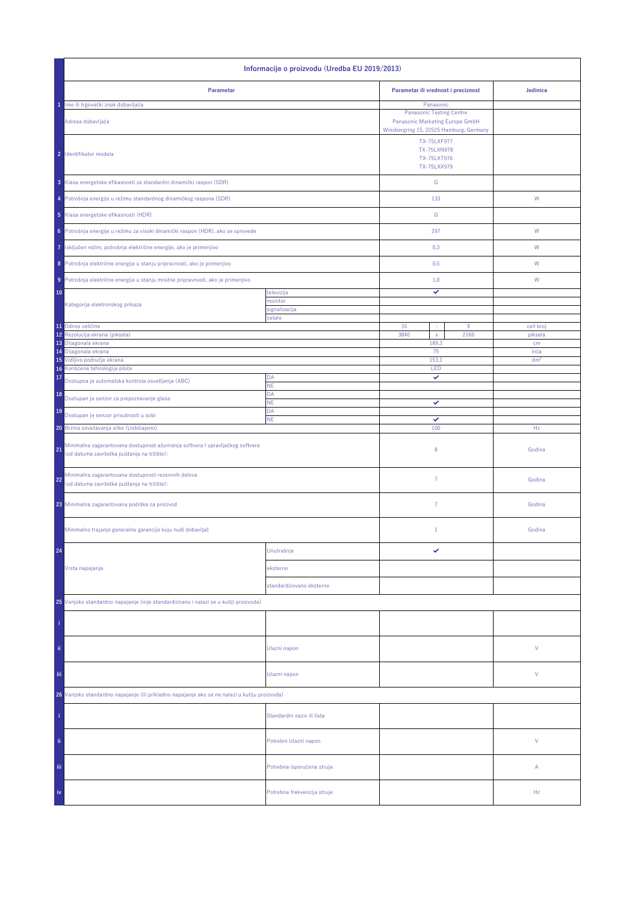| Informacije o proizvodu (Uredba EU 2019/2013)                                                                                      |                                             |                                              |                      |  |  |
|------------------------------------------------------------------------------------------------------------------------------------|---------------------------------------------|----------------------------------------------|----------------------|--|--|
| Parametar                                                                                                                          | Parametar ili vrednost i preciznost         | Jedinica                                     |                      |  |  |
| 1 Ime ili trgovački znak dobavljača                                                                                                |                                             | Panasonic<br><b>Panasonic Testing Centre</b> |                      |  |  |
| Adresa dobavljača                                                                                                                  | Winsbergring 15, 22525 Hamburg, Germany     |                                              |                      |  |  |
| 2 Identifikator modela                                                                                                             |                                             |                                              |                      |  |  |
| 3 Klasa energetske efikasnosti za standardni dinamički raspon (SDR)                                                                |                                             | G                                            |                      |  |  |
| 4 Potrošnja energije u režimu standardnog dinamičkog raspona (SDR)                                                                 |                                             | 133                                          | W                    |  |  |
| 5 Klasa energetske efikasnosti (HDR)                                                                                               |                                             | G                                            |                      |  |  |
| Potrošnja energije u režimu za visoki dinamički raspon (HDR), ako se sprovede<br>6                                                 |                                             | 297                                          | W                    |  |  |
| Isključen režim, potrošnja električne energije, ako je primenjivo<br>7                                                             |                                             | 0,3                                          | W                    |  |  |
| 8 Potrošnja električne energije u stanju pripravnosti, ako je primenjivo                                                           |                                             | 0,5                                          | W                    |  |  |
| Potrošnja električne energije u stanju mrežne pripravnosti, ako je primenjivo<br>9 <sup>1</sup>                                    |                                             | 1,0                                          | W                    |  |  |
| 10                                                                                                                                 | televizija<br>nonitor                       | ✓                                            |                      |  |  |
| Kategorija elektronskog prikaza                                                                                                    | signalizacija                               |                                              |                      |  |  |
|                                                                                                                                    | ostalo                                      |                                              |                      |  |  |
| 11 Odnos veličine<br>Rezolucija ekrana (piksela)<br>12                                                                             | 16<br>9<br>÷<br>3840<br>2160<br>$\mathsf X$ |                                              | celi broj<br>piksela |  |  |
| 13 Dijagonala ekrana<br>14 Dijagonala ekrana                                                                                       |                                             | 189,3<br>75                                  | cm<br>inča           |  |  |
| 15 Vidljivo područje ekrana                                                                                                        |                                             | 153,1                                        | dm <sup>2</sup>      |  |  |
| 16 Korišćena tehnologija ploče                                                                                                     |                                             | LED                                          |                      |  |  |
| 17<br>Dostupna je automatska kontrola osvetljenja (ABC)                                                                            | DA<br><b>NE</b>                             | ✓                                            |                      |  |  |
| 18<br>Dostupan je senzor za prepoznavanje glasa                                                                                    | DA<br>NE                                    | ✓                                            |                      |  |  |
| 19<br>Dostupan je senzor prisutnosti u sobi                                                                                        | DA<br><b>NE</b>                             | ✓                                            |                      |  |  |
| 20 Brzina osvežavanja slike (Uobičajeno)                                                                                           |                                             | 100                                          | Hz                   |  |  |
| Minimalna zagarantovana dostupnost ažuriranja softvera I upravljačkog softvera<br>21<br>(od datuma završetka puštanja na tržište): |                                             | 8                                            | Godina               |  |  |
| Minimalna zagarantovana dostupnost rezervnih delova<br>22<br>(od datuma završetka puštanja na tržište):                            |                                             | $\overline{7}$                               | Godina               |  |  |
| 23 Minimalna zagarantovana podrška za proizvod                                                                                     |                                             | $\overline{7}$                               | Godina               |  |  |
| Minimalno trajanje generalne garancije koju nudi dobavljač                                                                         |                                             | $1\,$                                        | Godina               |  |  |
| 24                                                                                                                                 | Unutrašnje                                  | ✓                                            |                      |  |  |
| Vrsta napajanja                                                                                                                    | eksterno                                    |                                              |                      |  |  |
|                                                                                                                                    | standardizovano eksterno                    |                                              |                      |  |  |
| 25 Vanjsko standardno napajanje (nije standardizirano i nalazi se u kutiji proizvoda)                                              |                                             |                                              |                      |  |  |
|                                                                                                                                    |                                             |                                              |                      |  |  |
| ii.                                                                                                                                | Ulazni napon                                |                                              | V                    |  |  |
| iii.                                                                                                                               | Izlazni napon                               |                                              | V                    |  |  |
| 26 Vanjsko standardno napajanje (ili prikladno napajanje ako se ne nalazi u kutiju proizvoda)                                      |                                             |                                              |                      |  |  |
|                                                                                                                                    | Standardni naziv ili lista                  |                                              |                      |  |  |
| ii.                                                                                                                                | Potrebni izlazni napon                      |                                              | V                    |  |  |
| Ϊij                                                                                                                                | Potrebna isporučena struja                  |                                              | А                    |  |  |
| iv                                                                                                                                 | Potrebna frekvencija struje                 |                                              | Hz                   |  |  |